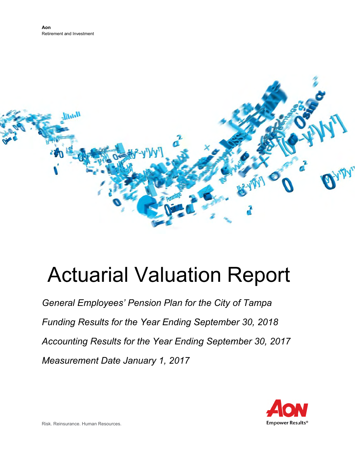

# Actuarial Valuation Report

*General Employees' Pension Plan for the City of Tampa*  Funding Results for the Year Ending September 30, 2018 *Accounting Results for the Year Ending September 30, 2017 Measurement Date January 1,2017* 

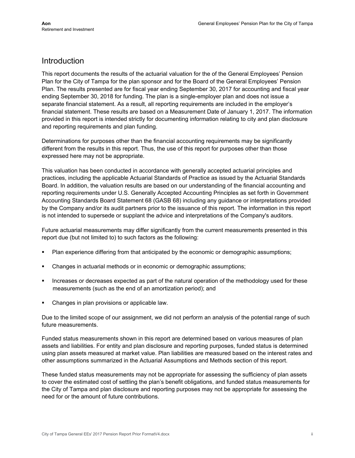## Introduction

This report documents the results of the actuarial valuation for the of the General Employees' Pension Plan for the City of Tampa for the plan sponsor and for the Board of the General Employees' Pension Plan. The results presented are for fiscal year ending September 30, 2017 for accounting and fiscal year ending September 30, 2018 for funding. The plan is a single-employer plan and does not issue a separate financial statement. As a result, all reporting requirements are included in the employer's financial statement. These results are based on a Measurement Date of January 1, 2017. The information provided in this report is intended strictly for documenting information relating to city and plan disclosure and reporting requirements and plan funding.

Determinations for purposes other than the financial accounting requirements may be significantly different from the results in this report. Thus, the use of this report for purposes other than those expressed here may not be appropriate.

This valuation has been conducted in accordance with generally accepted actuarial principles and practices, including the applicable Actuarial Standards of Practice as issued by the Actuarial Standards Board. In addition, the valuation results are based on our understanding of the financial accounting and reporting requirements under U.S. Generally Accepted Accounting Principles as set forth in Government Accounting Standards Board Statement 68 (GASB 68) including any guidance or interpretations provided by the Company and/or its audit partners prior to the issuance of this report. The information in this report is not intended to supersede or supplant the advice and interpretations of the Company's auditors.

Future actuarial measurements may differ significantly from the current measurements presented in this report due (but not limited to) to such factors as the following:

- Plan experience differing from that anticipated by the economic or demographic assumptions;
- Changes in actuarial methods or in economic or demographic assumptions;
- Increases or decreases expected as part of the natural operation of the methodology used for these measurements (such as the end of an amortization period); and
- Changes in plan provisions or applicable law.

Due to the limited scope of our assignment, we did not perform an analysis of the potential range of such future measurements.

Funded status measurements shown in this report are determined based on various measures of plan assets and liabilities. For entity and plan disclosure and reporting purposes, funded status is determined using plan assets measured at market value. Plan liabilities are measured based on the interest rates and other assumptions summarized in the Actuarial Assumptions and Methods section of this report.

These funded status measurements may not be appropriate for assessing the sufficiency of plan assets to cover the estimated cost of settling the plan's benefit obligations, and funded status measurements for the City of Tampa and plan disclosure and reporting purposes may not be appropriate for assessing the need for or the amount of future contributions.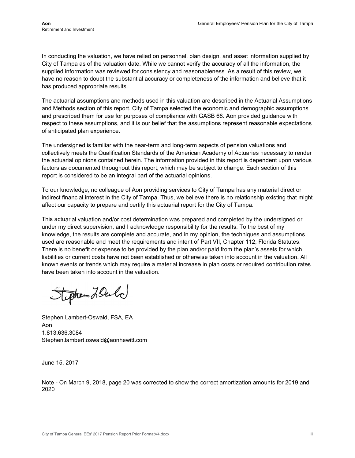In conducting the valuation, we have relied on personnel, plan design, and asset information supplied by City of Tampa as of the valuation date. While we cannot verify the accuracy of all the information, the supplied information was reviewed for consistency and reasonableness. As a result of this review, we have no reason to doubt the substantial accuracy or completeness of the information and believe that it has produced appropriate results.

respect to these assumptions, and it is our belief that the assumptions represent reasonable expectations The actuarial assumptions and methods used in this valuation are described in the Actuarial Assumptions and Methods section of this report. City of Tampa selected the economic and demographic assumptions and prescribed them for use for purposes of compliance with GASB 68. Aon provided guidance with of anticipated plan experience.

The undersigned is familiar with the near-term and long-term aspects of pension valuations and collectively meets the Qualification Standards of the American Academy of Actuaries necessary to render the actuarial opinions contained herein. The information provided in this report is dependent upon various factors as documented throughout this report, which may be subject to change. Each section of this report is considered to be an integral part of the actuarial opinions.

To our knowledge, no colleague of Aon providing services to City of Tampa has any material direct or indirect financial interest in the City of Tampa. Thus, we believe there is no relationship existing that might affect our capacity to prepare and certify this actuarial report for the City of Tampa.

This actuarial valuation and/or cost determination was prepared and completed by the undersigned or under my direct supervision, and I acknowledge responsibility for the results. To the best of my knowledge, the results are complete and accurate, and in my opinion, the techniques and assumptions used are reasonable and meet the requirements and intent of Part VII, Chapter 112, Florida Statutes. There is no benefit or expense to be provided by the plan and/or paid from the plan's assets for which liabilities or current costs have not been established or otherwise taken into account in the valuation. All known events or trends which may require a material increase in plan costs or required contribution rates have been taken into account in the valuation.

Stephen LOuld

Stephen Lambert-Oswald, FSA, EA Aon 1.813.636.3084 Stephen.lambert.oswald@aonhewitt.com

June 15, 2017

Note - On March 9, 2018, page 20 was corrected to show the correct amortization amounts for 2019 and 2020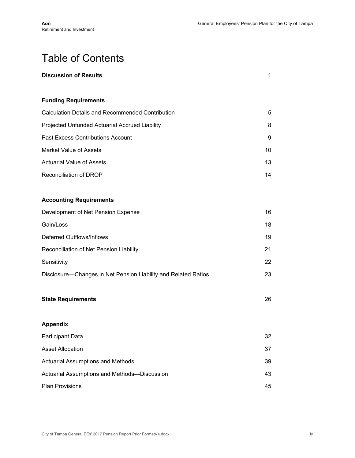## Table of Contents

| <b>Discussion of Results</b>                                   | $\mathbf{1}$ |
|----------------------------------------------------------------|--------------|
| <b>Funding Requirements</b>                                    |              |
| <b>Calculation Details and Recommended Contribution</b>        | 5            |
| Projected Unfunded Actuarial Accrued Liability                 | 8            |
| <b>Past Excess Contributions Account</b>                       | 9            |
| <b>Market Value of Assets</b>                                  | 10           |
| <b>Actuarial Value of Assets</b>                               | 13           |
| Reconciliation of DROP                                         | 14           |
| <b>Accounting Requirements</b>                                 |              |
| Development of Net Pension Expense                             | 16           |
| Gain/Loss                                                      | 18           |
| Deferred Outflows/Inflows                                      | 19           |
| Reconciliation of Net Pension Liability                        | 21           |
| Sensitivity                                                    | 22           |
| Disclosure-Changes in Net Pension Liability and Related Ratios | 23           |
| <b>State Requirements</b>                                      | 26           |
| <b>Appendix</b>                                                |              |
| <b>Participant Data</b>                                        | 32           |
| <b>Asset Allocation</b>                                        | 37           |
| <b>Actuarial Assumptions and Methods</b>                       | 39           |
| Actuarial Assumptions and Methods-Discussion                   | 43           |
| Plan Provisions                                                | 45           |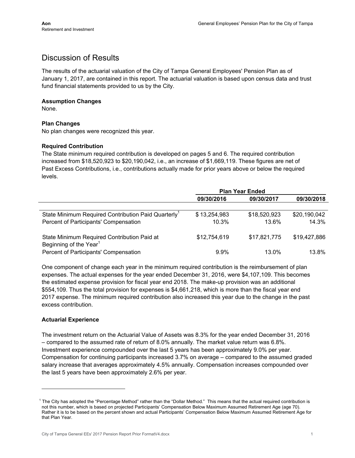## Discussion of Results

The results of the actuarial valuation of the City of Tampa General Employees' Pension Plan as of January 1, 2017, are contained in this report. The actuarial valuation is based upon census data and trust fund financial statements provided to us by the City.

#### **Assumption Changes**

None.

#### **Plan Changes**

No plan changes were recognized this year.

#### **Required Contribution**

The State minimum required contribution is developed on pages 5 and 6. The required contribution increased from \$18,520,923 to \$20,190,042, i.e., an increase of \$1,669,119. These figures are net of Past Excess Contributions, i.e., contributions actually made for prior years above or below the required levels.

|                                                                                   | <b>Plan Year Ended</b> |              |              |
|-----------------------------------------------------------------------------------|------------------------|--------------|--------------|
|                                                                                   | 09/30/2016             | 09/30/2017   | 09/30/2018   |
|                                                                                   |                        |              |              |
| State Minimum Required Contribution Paid Quarterly <sup>1</sup>                   | \$13,254,983           | \$18,520,923 | \$20,190,042 |
| Percent of Participants' Compensation                                             | 10.3%                  | 13.6%        | 14.3%        |
| State Minimum Required Contribution Paid at<br>Beginning of the Year <sup>1</sup> | \$12,754,619           | \$17,821,775 | \$19,427,886 |
| Percent of Participants' Compensation                                             | $9.9\%$                | 13.0%        | 13.8%        |

One component of change each year in the minimum required contribution is the reimbursement of plan expenses. The actual expenses for the year ended December 31, 2016, were \$4,107,109. This becomes the estimated expense provision for fiscal year end 2018. The make-up provision was an additional \$554,109. Thus the total provision for expenses is \$4,661,218, which is more than the fiscal year end 2017 expense. The minimum required contribution also increased this year due to the change in the past excess contribution.

#### **Actuarial Experience**

The investment return on the Actuarial Value of Assets was 8.3% for the year ended December 31, 2016 – compared to the assumed rate of return of 8.0% annually. The market value return was 6.8%. Investment experience compounded over the last 5 years has been approximately 9.0% per year. Compensation for continuing participants increased 3.7% on average – compared to the assumed graded salary increase that averages approximately 4.5% annually. Compensation increases compounded over the last 5 years have been approximately 2.6% per year.

 $1$  The City has adopted the "Percentage Method" rather than the "Dollar Method." This means that the actual required contribution is not this number, which is based on projected Participants' Compensation Below Maximum Assumed Retirement Age (age 70). Rather it is to be based on the percent shown and actual Participants' Compensation Below Maximum Assumed Retirement Age for that Plan Year.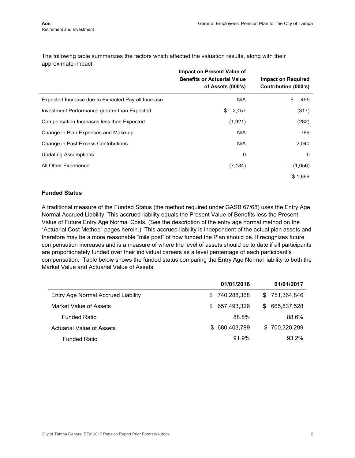The following table summarizes the factors which affected the valuation results, along with their approximate impact:

|                                                    | <b>Impact on Present Value of</b><br><b>Benefits or Actuarial Value</b><br>of Assets (000's) | <b>Impact on Required</b><br>Contribution (000's) |
|----------------------------------------------------|----------------------------------------------------------------------------------------------|---------------------------------------------------|
| Expected Increase due to Expected Payroll Increase | N/A                                                                                          | \$<br>495                                         |
| Investment Performance greater than Expected       | 2,157<br>\$                                                                                  | (317)                                             |
| Compensation Increases less than Expected          | (1,921)                                                                                      | (282)                                             |
| Change in Plan Expenses and Make-up                | N/A                                                                                          | 789                                               |
| Change in Past Excess Contributions                | N/A                                                                                          | 2,040                                             |
| <b>Updating Assumptions</b>                        | 0                                                                                            | 0                                                 |
| All Other Experience                               | (7, 184)                                                                                     | (1,056)                                           |
|                                                    |                                                                                              | \$1,669                                           |

#### **Funded Status**

A traditional measure of the Funded Status (the method required under GASB 67/68) uses the Entry Age Normal Accrued Liability. This accrued liability equals the Present Value of Benefits less the Present Value of Future Entry Age Normal Costs. (See the description of the entry age normal method on the "Actuarial Cost Method" pages herein.) This accrued liability is independent of the actual plan assets and therefore may be a more reasonable "mile post" of how funded the Plan should be. It recognizes future compensation increases and is a measure of where the level of assets should be to date if all participants are proportionately funded over their individual careers as a level percentage of each participant's compensation. Table below shows the funded status comparing the Entry Age Normal liability to both the Market Value and Actuarial Value of Assets:

|                                    |                | 01/01/2016  |    | 01/01/2017    |
|------------------------------------|----------------|-------------|----|---------------|
| Entry Age Normal Accrued Liability | S.             | 740,288,368 |    | \$751,364,846 |
| Market Value of Assets             | \$ 657,493,326 |             | S. | 665,837,528   |
| <b>Funded Ratio</b>                |                | 88.8%       |    | 88.6%         |
| <b>Actuarial Value of Assets</b>   | \$ 680,403,789 |             |    | \$700,320,299 |
| <b>Funded Ratio</b>                |                | 91.9%       |    | 93.2%         |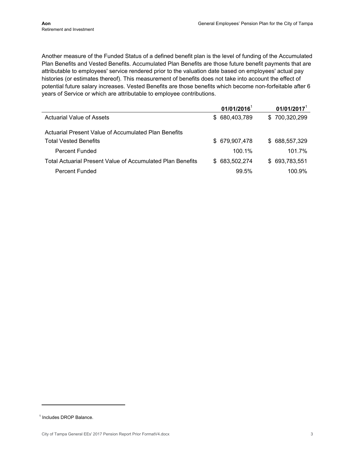years of Service or which are attributable to employee contributions. Another measure of the Funded Status of a defined benefit plan is the level of funding of the Accumulated Plan Benefits and Vested Benefits. Accumulated Plan Benefits are those future benefit payments that are attributable to employees' service rendered prior to the valuation date based on employees' actual pay histories (or estimates thereof). This measurement of benefits does not take into account the effect of potential future salary increases. Vested Benefits are those benefits which become non-forfeitable after 6

|                                                            | $01/01/2016$ <sup>1</sup> | $01/01/2017$ <sup>1</sup> |
|------------------------------------------------------------|---------------------------|---------------------------|
| Actuarial Value of Assets                                  | \$ 680,403,789            | \$700,320,299             |
| Actuarial Present Value of Accumulated Plan Benefits       |                           |                           |
| <b>Total Vested Benefits</b>                               | \$679,907,478             | \$688,557,329             |
| Percent Funded                                             | 100.1%                    | 101.7%                    |
| Total Actuarial Present Value of Accumulated Plan Benefits | \$ 683,502,274            | \$693,783,551             |
| <b>Percent Funded</b>                                      | 99.5%                     | 100.9%                    |

<sup>1</sup> Includes DROP Balance.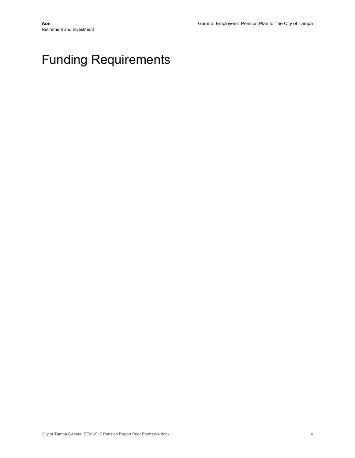## Funding Requirements

Retirement and Investment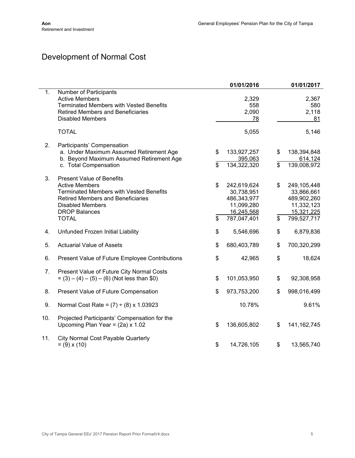## Development of Normal Cost

|     |                                                                                                                                                                                                                            |                      | 01/01/2016                                                                          |          | 01/01/2017                                                                          |
|-----|----------------------------------------------------------------------------------------------------------------------------------------------------------------------------------------------------------------------------|----------------------|-------------------------------------------------------------------------------------|----------|-------------------------------------------------------------------------------------|
| 1.  | Number of Participants<br><b>Active Members</b><br><b>Terminated Members with Vested Benefits</b><br><b>Retired Members and Beneficiaries</b><br><b>Disabled Members</b>                                                   |                      | 2,329<br>558<br>2,090<br>78                                                         |          | 2,367<br>580<br>2,118<br>81                                                         |
|     | <b>TOTAL</b>                                                                                                                                                                                                               |                      | 5,055                                                                               |          | 5,146                                                                               |
| 2.  | Participants' Compensation<br>a. Under Maximum Assumed Retirement Age<br>b. Beyond Maximum Assumed Retirement Age<br>c. Total Compensation                                                                                 | \$<br>$\mathfrak{L}$ | 133,927,257<br>395,063<br>134,322,320                                               | \$<br>\$ | 138,394,848<br>614,124<br>139,008,972                                               |
| 3.  | <b>Present Value of Benefits</b><br><b>Active Members</b><br><b>Terminated Members with Vested Benefits</b><br><b>Retired Members and Beneficiaries</b><br><b>Disabled Members</b><br><b>DROP Balances</b><br><b>TOTAL</b> | \$<br>\$             | 242,619,624<br>30,738,951<br>486,343,977<br>11,099,280<br>16,245,568<br>787,047,401 | \$<br>\$ | 249,105,448<br>33,866,661<br>489,902,260<br>11,332,123<br>15,321,225<br>799,527,717 |
| 4.  | Unfunded Frozen Initial Liability                                                                                                                                                                                          | \$                   | 5,546,696                                                                           | \$       | 6,879,836                                                                           |
| 5.  | <b>Actuarial Value of Assets</b>                                                                                                                                                                                           | \$                   | 680,403,789                                                                         | \$       | 700,320,299                                                                         |
| 6.  | Present Value of Future Employee Contributions                                                                                                                                                                             | \$                   | 42,965                                                                              | \$       | 18,624                                                                              |
| 7.  | Present Value of Future City Normal Costs<br>$= (3) - (4) - (5) - (6)$ (Not less than \$0)                                                                                                                                 | \$                   | 101,053,950                                                                         | \$       | 92,308,958                                                                          |
| 8.  | Present Value of Future Compensation                                                                                                                                                                                       | \$                   | 973,753,200                                                                         | \$       | 998,016,499                                                                         |
| 9.  | Normal Cost Rate = $(7) \div (8) \times 1.03923$                                                                                                                                                                           |                      | 10.78%                                                                              |          | 9.61%                                                                               |
| 10. | Projected Participants' Compensation for the<br>Upcoming Plan Year = $(2a) \times 1.02$                                                                                                                                    | \$                   | 136,605,802                                                                         | \$       | 141, 162, 745                                                                       |
| 11. | <b>City Normal Cost Payable Quarterly</b><br>$= (9) \times (10)$                                                                                                                                                           | \$                   | 14,726,105                                                                          | \$       | 13,565,740                                                                          |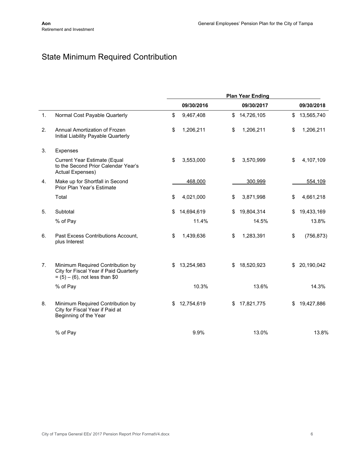## State Minimum Required Contribution

|                |                                                                                                                 | <b>Plan Year Ending</b> |            |    |            |    |            |
|----------------|-----------------------------------------------------------------------------------------------------------------|-------------------------|------------|----|------------|----|------------|
|                |                                                                                                                 |                         | 09/30/2016 |    | 09/30/2017 |    | 09/30/2018 |
| 1.             | Normal Cost Payable Quarterly                                                                                   | \$                      | 9,467,408  | \$ | 14,726,105 | \$ | 13,565,740 |
| 2.             | Annual Amortization of Frozen<br>Initial Liability Payable Quarterly                                            | \$                      | 1,206,211  | \$ | 1,206,211  | \$ | 1,206,211  |
| 3.             | Expenses                                                                                                        |                         |            |    |            |    |            |
|                | <b>Current Year Estimate (Equal</b><br>to the Second Prior Calendar Year's<br>Actual Expenses)                  | \$                      | 3,553,000  | \$ | 3,570,999  | \$ | 4,107,109  |
| 4.             | Make up for Shortfall in Second<br>Prior Plan Year's Estimate                                                   |                         | 468,000    |    | 300,999    |    | 554,109    |
|                | Total                                                                                                           | \$                      | 4,021,000  | \$ | 3,871,998  | \$ | 4,661,218  |
| 5.             | Subtotal                                                                                                        | \$                      | 14,694,619 | \$ | 19,804,314 | \$ | 19,433,169 |
|                | % of Pay                                                                                                        |                         | 11.4%      |    | 14.5%      |    | 13.8%      |
| 6.             | Past Excess Contributions Account,<br>plus Interest                                                             | \$                      | 1,439,636  | \$ | 1,283,391  | \$ | (756, 873) |
| 7 <sub>1</sub> | Minimum Required Contribution by<br>City for Fiscal Year if Paid Quarterly<br>$= (5) - (6)$ , not less than \$0 | \$                      | 13,254,983 | \$ | 18,520,923 | \$ | 20,190,042 |
|                | % of Pay                                                                                                        |                         | 10.3%      |    | 13.6%      |    | 14.3%      |
| 8.             | Minimum Required Contribution by<br>City for Fiscal Year if Paid at<br>Beginning of the Year                    | \$                      | 12,754,619 | \$ | 17,821,775 | \$ | 19,427,886 |
|                | % of Pay                                                                                                        |                         | 9.9%       |    | 13.0%      |    | 13.8%      |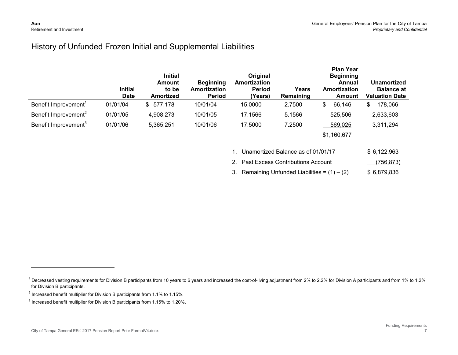### History of Unfunded Frozen Initial and Supplemental Liabilities

|                                  | <b>Initial</b><br><b>Date</b> | <b>Initial</b><br><b>Amount</b><br>to be<br><b>Amortized</b> | <b>Beginning</b><br>Amortization<br><b>Period</b> | Original<br>Amortization<br>Period<br>(Years) | Years<br>Remaining | <b>Plan Year</b><br><b>Beginning</b><br>Annual<br>Amortization<br>Amount | <b>Unamortized</b><br><b>Balance at</b><br><b>Valuation Date</b> |
|----------------------------------|-------------------------------|--------------------------------------------------------------|---------------------------------------------------|-----------------------------------------------|--------------------|--------------------------------------------------------------------------|------------------------------------------------------------------|
| Benefit Improvement <sup>1</sup> | 01/01/04                      | \$577,178                                                    | 10/01/04                                          | 15.0000                                       | 2.7500             | 66,146<br>\$                                                             | 178,066<br>\$                                                    |
| Benefit Improvement <sup>2</sup> | 01/01/05                      | 4,908,273                                                    | 10/01/05                                          | 17.1566                                       | 5.1566             | 525,506                                                                  | 2,633,603                                                        |
| Benefit Improvement <sup>3</sup> | 01/01/06                      | 5,365,251                                                    | 10/01/06                                          | 17.5000                                       | 7.2500             | 569,025                                                                  | 3,311,294                                                        |
|                                  |                               |                                                              |                                                   |                                               |                    | \$1,160,677                                                              |                                                                  |

| 1. Unamortized Balance as of 01/01/17           | \$6,122,963 |
|-------------------------------------------------|-------------|
| 2. Past Excess Contributions Account            | (756, 873)  |
| 3. Remaining Unfunded Liabilities = $(1) - (2)$ | \$6.879.836 |

<sup>&</sup>lt;sup>1</sup> Decreased vesting requirements for Division B participants from 10 years to 6 years and increased the cost-of-living adjustment from 2% to 2.2% for Division A participants and from 1% to 1.2% for Division B participants.

 $^{2}$  Increased benefit multiplier for Division B participants from 1.1% to 1.15%.

<sup>&</sup>lt;sup>3</sup> Increased benefit multiplier for Division B participants from 1.15% to 1.20%.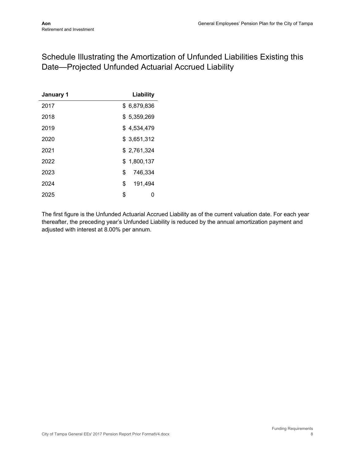## Schedule Illustrating the Amortization of Unfunded Liabilities Existing this Date—Projected Unfunded Actuarial Accrued Liability

| January 1 | Liability     |
|-----------|---------------|
| 2017      | \$6,879,836   |
| 2018      | \$5,359,269   |
| 2019      | \$4,534,479   |
| 2020      | \$3,651,312   |
| 2021      | \$2,761,324   |
| 2022      | \$1.800.137   |
| 2023      | \$<br>746.334 |
| 2024      | \$<br>191,494 |
| 2025      | \$<br>0       |

The first figure is the Unfunded Actuarial Accrued Liability as of the current valuation date. For each year thereafter, the preceding year's Unfunded Liability is reduced by the annual amortization payment and adjusted with interest at 8.00% per annum.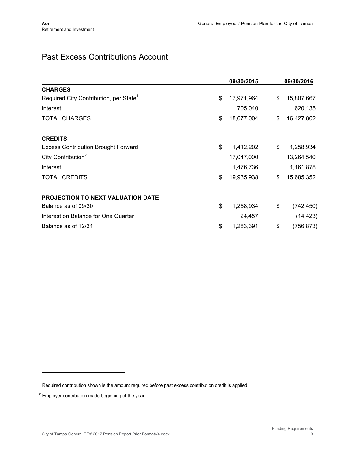## Past Excess Contributions Account

|                                                    | 09/30/2015       | 09/30/2016       |
|----------------------------------------------------|------------------|------------------|
| <b>CHARGES</b>                                     |                  |                  |
| Required City Contribution, per State <sup>1</sup> | \$<br>17,971,964 | \$<br>15,807,667 |
| Interest                                           | 705,040          | 620,135          |
| <b>TOTAL CHARGES</b>                               | \$<br>18,677,004 | \$<br>16,427,802 |
| <b>CREDITS</b>                                     |                  |                  |
| <b>Excess Contribution Brought Forward</b>         | \$<br>1,412,202  | \$<br>1,258,934  |
| City Contribution <sup>2</sup>                     | 17,047,000       | 13,264,540       |
| Interest                                           | 1,476,736        | 1,161,878        |
| <b>TOTAL CREDITS</b>                               | \$<br>19,935,938 | \$<br>15,685,352 |
| <b>PROJECTION TO NEXT VALUATION DATE</b>           |                  |                  |
| Balance as of 09/30                                | \$<br>1,258,934  | \$<br>(742, 450) |
| Interest on Balance for One Quarter                | 24,457           | (14, 423)        |
| Balance as of 12/31                                | \$<br>1,283,391  | \$<br>(756, 873) |

<sup>&</sup>lt;sup>1</sup> Required contribution shown is the amount required before past excess contribution credit is applied.

 $2$  Employer contribution made beginning of the year.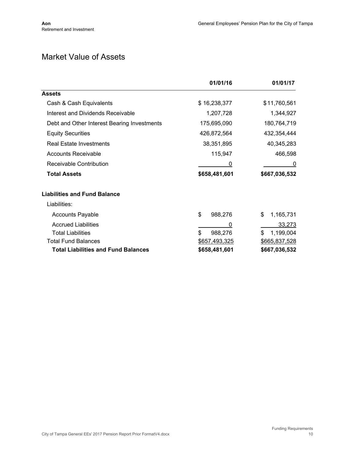## Market Value of Assets

|                                             | 01/01/16      | 01/01/17        |
|---------------------------------------------|---------------|-----------------|
| <b>Assets</b>                               |               |                 |
| Cash & Cash Equivalents                     | \$16,238,377  | \$11,760,561    |
| Interest and Dividends Receivable           | 1,207,728     | 1,344,927       |
| Debt and Other Interest Bearing Investments | 175,695,090   | 180,764,719     |
| <b>Equity Securities</b>                    | 426,872,564   | 432,354,444     |
| <b>Real Estate Investments</b>              | 38,351,895    | 40,345,283      |
| <b>Accounts Receivable</b>                  | 115,947       | 466,598         |
| Receivable Contribution                     | 0             | 0               |
| <b>Total Assets</b>                         | \$658,481,601 | \$667,036,532   |
| <b>Liabilities and Fund Balance</b>         |               |                 |
| Liabilities:                                |               |                 |
| <b>Accounts Payable</b>                     | \$<br>988,276 | \$<br>1,165,731 |
| <b>Accrued Liabilities</b>                  | 0             | 33,273          |
| <b>Total Liabilities</b>                    | \$<br>988,276 | \$<br>1,199,004 |
| <b>Total Fund Balances</b>                  | \$657,493,325 | \$665,837,528   |
| <b>Total Liabilities and Fund Balances</b>  | \$658,481,601 | \$667,036,532   |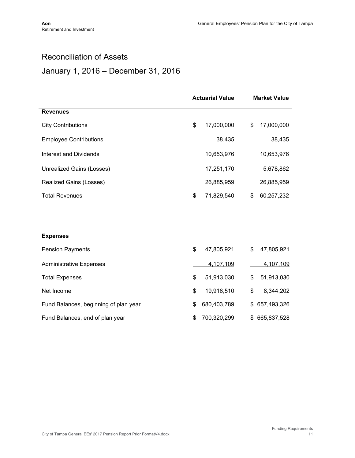## Reconciliation of Assets

## January 1, 2016 – December 31, 2016

|                                       | <b>Actuarial Value</b> |             | <b>Market Value</b> |             |
|---------------------------------------|------------------------|-------------|---------------------|-------------|
| <b>Revenues</b>                       |                        |             |                     |             |
| <b>City Contributions</b>             | \$                     | 17,000,000  | \$                  | 17,000,000  |
| <b>Employee Contributions</b>         |                        | 38,435      |                     | 38,435      |
| Interest and Dividends                |                        | 10,653,976  |                     | 10,653,976  |
| Unrealized Gains (Losses)             |                        | 17,251,170  |                     | 5,678,862   |
| Realized Gains (Losses)               |                        | 26,885,959  |                     | 26,885,959  |
| <b>Total Revenues</b>                 | \$                     | 71,829,540  | \$                  | 60,257,232  |
|                                       |                        |             |                     |             |
|                                       |                        |             |                     |             |
| <b>Expenses</b>                       |                        |             |                     |             |
| <b>Pension Payments</b>               | \$                     | 47,805,921  | \$                  | 47,805,921  |
| <b>Administrative Expenses</b>        |                        | 4,107,109   |                     | 4,107,109   |
| <b>Total Expenses</b>                 | \$                     | 51,913,030  | \$                  | 51,913,030  |
| Net Income                            | \$                     | 19,916,510  | \$                  | 8,344,202   |
| Fund Balances, beginning of plan year | \$                     | 680,403,789 | \$                  | 657,493,326 |
| Fund Balances, end of plan year       | \$                     | 700,320,299 | \$                  | 665,837,528 |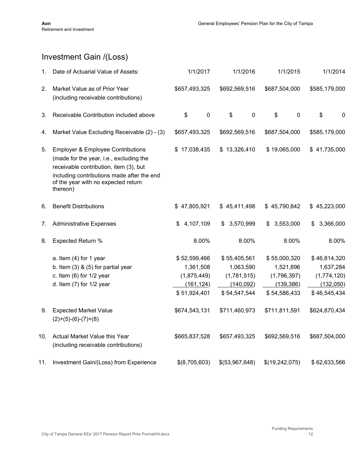## Investment Gain /(Loss)

| 1.  | Date of Actuarial Value of Assets:                                                                                                                                                                                                 | 1/1/2017                                                               | 1/1/2016                                                               | 1/1/2015                                                               | 1/1/2014                                                              |
|-----|------------------------------------------------------------------------------------------------------------------------------------------------------------------------------------------------------------------------------------|------------------------------------------------------------------------|------------------------------------------------------------------------|------------------------------------------------------------------------|-----------------------------------------------------------------------|
| 2.  | Market Value as of Prior Year<br>(including receivable contributions)                                                                                                                                                              | \$657,493,325                                                          | \$692,569,516                                                          | \$687,504,000                                                          | \$585,179,000                                                         |
| 3.  | Receivable Contribution included above                                                                                                                                                                                             | \$<br>$\mathbf 0$                                                      | \$<br>$\mathbf 0$                                                      | \$<br>$\mathbf 0$                                                      | \$<br>0                                                               |
| 4.  | Market Value Excluding Receivable (2) - (3)                                                                                                                                                                                        | \$657,493,325                                                          | \$692,569,516                                                          | \$687,504,000                                                          | \$585,179,000                                                         |
| 5.  | <b>Employer &amp; Employee Contributions</b><br>(made for the year, i.e., excluding the<br>receivable contribution, item (3), but<br>including contributions made after the end<br>of the year with no expected return<br>thereon) | \$17,038,435                                                           | \$13,326,410                                                           | \$19,065,000                                                           | \$41,735,000                                                          |
| 6.  | <b>Benefit Distributions</b>                                                                                                                                                                                                       | \$47,805,921                                                           | \$45,411,498                                                           | \$45,790,842                                                           | \$45,223,000                                                          |
| 7.  | <b>Administrative Expenses</b>                                                                                                                                                                                                     | 4,107,109<br>\$                                                        | 3,570,999<br>\$                                                        | 3,553,000<br>S                                                         | 3,366,000<br>\$                                                       |
| 8.  | Expected Return %                                                                                                                                                                                                                  | 8.00%                                                                  | 8.00%                                                                  | 8.00%                                                                  | 8.00%                                                                 |
|     | a. Item (4) for 1 year<br>b. Item $(3)$ & $(5)$ for partial year<br>c. Item $(6)$ for $1/2$ year<br>d. Item $(7)$ for $1/2$ year                                                                                                   | \$52,599,466<br>1,361,508<br>(1,875,449)<br>(161, 124)<br>\$51,924,401 | \$55,405,561<br>1,063,590<br>(1,781,515)<br>(140, 092)<br>\$54,547,544 | \$55,000,320<br>1,521,896<br>(1,796,397)<br>(139, 386)<br>\$54,586,433 | \$46,814,320<br>1,637,284<br>(1,774,120)<br>(132,050)<br>\$46,545,434 |
| 9.  | <b>Expected Market Value</b><br>$(2)+(5)-(6)-(7)+(8)$                                                                                                                                                                              | \$674,543,131                                                          | \$711,460,973                                                          | \$711,811,591                                                          | \$624,870,434                                                         |
| 10. | Actual Market Value this Year<br>(including receivable contributions)                                                                                                                                                              | \$665,837,528                                                          | \$657,493,325                                                          | \$692,569,516                                                          | \$687,504,000                                                         |
| 11. | Investment Gain/(Loss) from Experience                                                                                                                                                                                             | \$(8,705,603)                                                          | \$(53,967,648)                                                         | \$(19,242,075)                                                         | \$62,633,566                                                          |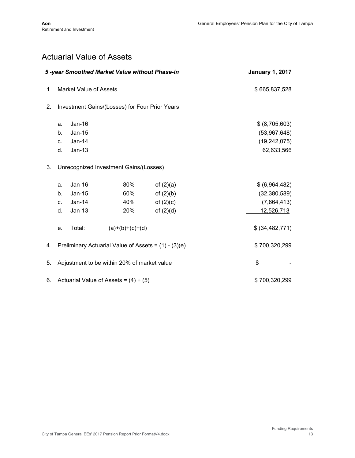## Actuarial Value of Assets

| 5-year Smoothed Market Value without Phase-in |                                                      |                                              |                                                |                                                          | <b>January 1, 2017</b>                                         |
|-----------------------------------------------|------------------------------------------------------|----------------------------------------------|------------------------------------------------|----------------------------------------------------------|----------------------------------------------------------------|
| 1.                                            |                                                      | <b>Market Value of Assets</b>                | \$665,837,528                                  |                                                          |                                                                |
| 2.                                            |                                                      |                                              | Investment Gains/(Losses) for Four Prior Years |                                                          |                                                                |
|                                               | a.<br>b.<br>C.<br>d.                                 | $Jan-16$<br>$Jan-15$<br>$Jan-14$<br>$Jan-13$ |                                                |                                                          | \$ (8,705,603)<br>(53,967,648)<br>(19, 242, 075)<br>62,633,566 |
| 3.                                            |                                                      |                                              | Unrecognized Investment Gains/(Losses)         |                                                          |                                                                |
|                                               | a.<br>b.<br>C.<br>d.                                 | Jan-16<br>Jan-15<br>Jan-14<br>$Jan-13$       | 80%<br>60%<br>40%<br>20%                       | of $(2)(a)$<br>of $(2)(b)$<br>of $(2)(c)$<br>of $(2)(d)$ | \$ (6,964,482)<br>(32, 380, 589)<br>(7,664,413)<br>12,526,713  |
|                                               | e.                                                   | Total:                                       | $(a)+(b)+(c)+(d)$                              |                                                          | \$ (34, 482, 771)                                              |
| 4.                                            | Preliminary Actuarial Value of Assets = (1) - (3)(e) |                                              |                                                |                                                          | \$700,320,299                                                  |
| 5.                                            |                                                      |                                              | Adjustment to be within 20% of market value    |                                                          | \$                                                             |
| 6.                                            |                                                      | Actuarial Value of Assets = $(4) + (5)$      | \$700,320,299                                  |                                                          |                                                                |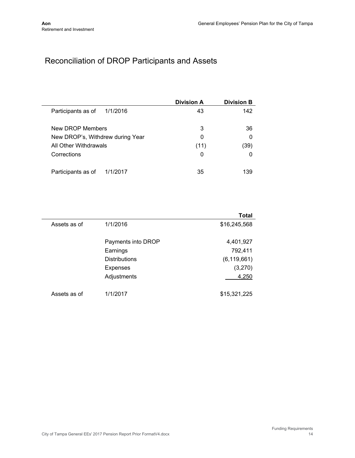## Reconciliation of DROP Participants and Assets

|                                  | <b>Division A</b> | <b>Division B</b> |
|----------------------------------|-------------------|-------------------|
| 1/1/2016<br>Participants as of   | 43                | 142               |
| New DROP Members                 | 3                 | 36                |
| New DROP's, Withdrew during Year | 0                 | 0                 |
| All Other Withdrawals            | (11)              | (39)              |
| Corrections                      | 0                 | O                 |
| Participants as of<br>1/1/2017   | 35                | 139               |

|              |                      | Total         |
|--------------|----------------------|---------------|
| Assets as of | 1/1/2016             | \$16,245,568  |
|              | Payments into DROP   | 4,401,927     |
|              | Earnings             | 792,411       |
|              | <b>Distributions</b> | (6, 119, 661) |
|              | <b>Expenses</b>      | (3,270)       |
|              | Adjustments          | 4,250         |
| Assets as of | 1/1/2017             | \$15,321,225  |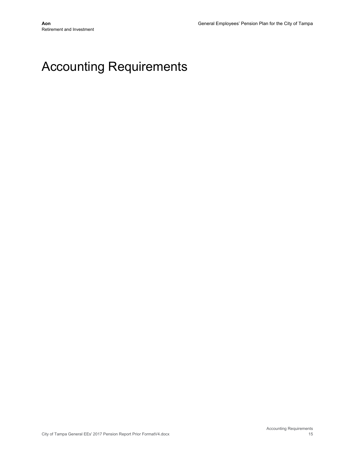## Accounting Requirements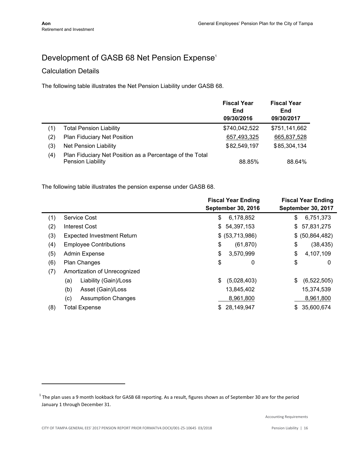## Development of GASB 68 Net Pension Expense<sup>1</sup>

#### Calculation Details

The following table illustrates the Net Pension Liability under GASB 68.

|     |                                                                               | <b>Fiscal Year</b><br>End<br>09/30/2016 | <b>Fiscal Year</b><br>End<br>09/30/2017 |
|-----|-------------------------------------------------------------------------------|-----------------------------------------|-----------------------------------------|
| (1) | <b>Total Pension Liability</b>                                                | \$740,042,522                           | \$751,141,662                           |
| (2) | <b>Plan Fiduciary Net Position</b>                                            | 657,493,325                             | 665,837,528                             |
| (3) | <b>Net Pension Liability</b>                                                  | \$82,549,197                            | \$85,304,134                            |
| (4) | Plan Fiduciary Net Position as a Percentage of the Total<br>Pension Liability | 88.85%                                  | 88.64%                                  |

The following table illustrates the pension expense under GASB 68.

|     |                                   | <b>Fiscal Year Ending</b><br><b>September 30, 2016</b> | <b>Fiscal Year Ending</b><br><b>September 30, 2017</b> |
|-----|-----------------------------------|--------------------------------------------------------|--------------------------------------------------------|
| (1) | Service Cost                      | \$<br>6,178,852                                        | \$<br>6,751,373                                        |
| (2) | Interest Cost                     | \$54,397,153                                           | 57,831,275<br>\$                                       |
| (3) | <b>Expected Investment Return</b> | \$ (53,713,986)                                        | \$ (50,864,482)                                        |
| (4) | <b>Employee Contributions</b>     | \$<br>(61, 870)                                        | \$<br>(38, 435)                                        |
| (5) | <b>Admin Expense</b>              | \$<br>3,570,999                                        | \$<br>4,107,109                                        |
| (6) | Plan Changes                      | \$<br>0                                                | \$<br>0                                                |
| (7) | Amortization of Unrecognized      |                                                        |                                                        |
|     | Liability (Gain)/Loss<br>(a)      | \$<br>(5,028,403)                                      | (6,522,505)<br>\$                                      |
|     | (b)<br>Asset (Gain)/Loss          | 13,845,402                                             | 15,374,539                                             |
|     | (c)<br><b>Assumption Changes</b>  | 8,961,800                                              | 8,961,800                                              |
| (8) | <b>Total Expense</b>              | 28,149,947<br>\$                                       | 35,600,674<br>\$.                                      |

 $^1$  The plan uses a 9 month lookback for GASB 68 reporting. As a result, figures shown as of September 30 are for the period January 1 through December 31.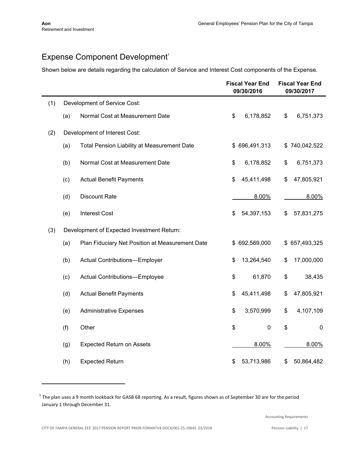## Expense Component Development<sup>1</sup>

Shown below are details regarding the calculation of Service and Interest Cost components of the Expense.

|     |     |                                                    | <b>Fiscal Year End</b><br>09/30/2016 |               | <b>Fiscal Year End</b><br>09/30/2017 |               |
|-----|-----|----------------------------------------------------|--------------------------------------|---------------|--------------------------------------|---------------|
| (1) |     | Development of Service Cost:                       |                                      |               |                                      |               |
|     | (a) | Normal Cost at Measurement Date                    | \$                                   | 6,178,852     | \$                                   | 6,751,373     |
| (2) |     | Development of Interest Cost:                      |                                      |               |                                      |               |
|     | (a) | <b>Total Pension Liability at Measurement Date</b> |                                      | \$696,491,313 |                                      | \$740,042,522 |
|     | (b) | Normal Cost at Measurement Date                    | \$                                   | 6,178,852     | \$                                   | 6,751,373     |
|     | (c) | <b>Actual Benefit Payments</b>                     | \$                                   | 45,411,498    | \$                                   | 47,805,921    |
|     | (d) | <b>Discount Rate</b>                               |                                      | 8.00%         |                                      | 8.00%         |
|     | (e) | <b>Interest Cost</b>                               | \$                                   | 54,397,153    | \$                                   | 57,831,275    |
| (3) |     | Development of Expected Investment Return:         |                                      |               |                                      |               |
|     | (a) | Plan Fiduciary Net Position at Measurement Date    |                                      | \$692,569,000 |                                      | \$657,493,325 |
|     | (b) | Actual Contributions-Employer                      | \$                                   | 13,264,540    | \$                                   | 17,000,000    |
|     | (c) | Actual Contributions-Employee                      | \$                                   | 61,870        | \$                                   | 38,435        |
|     | (d) | <b>Actual Benefit Payments</b>                     | \$                                   | 45,411,498    | \$                                   | 47,805,921    |
|     | (e) | <b>Administrative Expenses</b>                     | \$                                   | 3,570,999     | \$                                   | 4,107,109     |
|     | (f) | Other                                              | \$                                   | $\pmb{0}$     | \$                                   | $\mathbf 0$   |
|     | (g) | <b>Expected Return on Assets</b>                   |                                      | 8.00%         |                                      | 8.00%         |
|     | (h) | <b>Expected Return</b>                             | \$                                   | 53,713,986    | \$                                   | 50,864,482    |

 $^1$  The plan uses a 9 month lookback for GASB 68 reporting. As a result, figures shown as of September 30 are for the period January 1 through December 31.

Accounting Requirements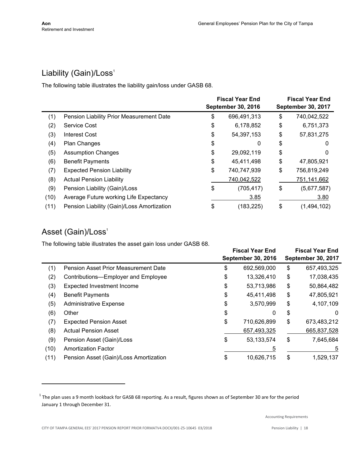## Liability (Gain)/Loss<sup>1</sup>

The following table illustrates the liability gain/loss under GASB 68.

|      |                                            | <b>Fiscal Year End</b><br><b>September 30, 2016</b> |             | <b>Fiscal Year End</b><br>September 30, 2017 |             |
|------|--------------------------------------------|-----------------------------------------------------|-------------|----------------------------------------------|-------------|
| (1)  | Pension Liability Prior Measurement Date   | \$                                                  | 696,491,313 | \$                                           | 740,042,522 |
| (2)  | <b>Service Cost</b>                        | \$                                                  | 6,178,852   | \$                                           | 6,751,373   |
| (3)  | <b>Interest Cost</b>                       | \$                                                  | 54,397,153  | \$                                           | 57,831,275  |
| (4)  | <b>Plan Changes</b>                        | \$                                                  | 0           | \$                                           | 0           |
| (5)  | <b>Assumption Changes</b>                  | \$                                                  | 29,092,119  | \$                                           | 0           |
| (6)  | <b>Benefit Payments</b>                    | \$                                                  | 45,411,498  | \$                                           | 47,805,921  |
| (7)  | <b>Expected Pension Liability</b>          | \$                                                  | 740,747,939 | \$                                           | 756,819,249 |
| (8)  | <b>Actual Pension Liability</b>            |                                                     | 740,042,522 |                                              | 751,141,662 |
| (9)  | Pension Liability (Gain)/Loss              | \$                                                  | (705, 417)  | \$                                           | (5,677,587) |
| (10) | Average Future working Life Expectancy     |                                                     | 3.85        |                                              | 3.80        |
| (11) | Pension Liability (Gain)/Loss Amortization | \$                                                  | (183, 225)  | \$                                           | (1,494,102) |

## Asset (Gain)/Loss<sup>1</sup>

The following table illustrates the asset gain loss under GASB 68.

|      |                                        | <b>Fiscal Year End</b> |                           | <b>Fiscal Year End</b>    |             |  |
|------|----------------------------------------|------------------------|---------------------------|---------------------------|-------------|--|
|      |                                        |                        | <b>September 30, 2016</b> | <b>September 30, 2017</b> |             |  |
| (1)  | Pension Asset Prior Measurement Date   | \$                     | 692,569,000               | \$                        | 657,493,325 |  |
| (2)  | Contributions-Employer and Employee    | \$                     | 13,326,410                | \$                        | 17,038,435  |  |
| (3)  | <b>Expected Investment Income</b>      | \$                     | 53,713,986                | \$                        | 50,864,482  |  |
| (4)  | <b>Benefit Payments</b>                | \$                     | 45,411,498                | \$                        | 47,805,921  |  |
| (5)  | <b>Administrative Expense</b>          | \$                     | 3,570,999                 | \$                        | 4,107,109   |  |
| (6)  | Other                                  | \$                     | 0                         | \$                        | 0           |  |
| (7)  | <b>Expected Pension Asset</b>          | \$                     | 710,626,899               | \$                        | 673,483,212 |  |
| (8)  | <b>Actual Pension Asset</b>            |                        | 657,493,325               |                           | 665,837,528 |  |
| (9)  | Pension Asset (Gain)/Loss              | \$                     | 53, 133, 574              | \$                        | 7,645,684   |  |
| (10) | <b>Amortization Factor</b>             |                        | 5                         |                           | 5           |  |
| (11) | Pension Asset (Gain)/Loss Amortization | \$                     | 10,626,715                | \$                        | 1,529,137   |  |

 $^1$  The plan uses a 9 month lookback for GASB 68 reporting. As a result, figures shown as of September 30 are for the period January 1 through December 31.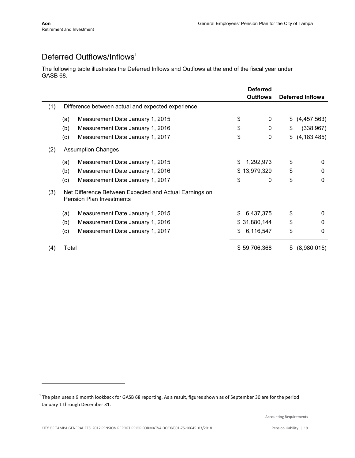## Deferred Outflows/Inflows<sup>1</sup>

The following table illustrates the Deferred Inflows and Outflows at the end of the fiscal year under GASB 68.

|     |       |                                                                                           | <b>Deferred</b> |     |                         |
|-----|-------|-------------------------------------------------------------------------------------------|-----------------|-----|-------------------------|
|     |       |                                                                                           | <b>Outflows</b> |     | <b>Deferred Inflows</b> |
| (1) |       | Difference between actual and expected experience                                         |                 |     |                         |
|     | (a)   | Measurement Date January 1, 2015                                                          | \$<br>0         | \$  | (4,457,563)             |
|     | (b)   | Measurement Date January 1, 2016                                                          | \$<br>0         | \$  | (338, 967)              |
|     | (c)   | Measurement Date January 1, 2017                                                          | \$<br>0         | \$  | (4, 183, 485)           |
| (2) |       | <b>Assumption Changes</b>                                                                 |                 |     |                         |
|     | (a)   | Measurement Date January 1, 2015                                                          | \$<br>1,292,973 | \$  | $\mathbf 0$             |
|     | (b)   | Measurement Date January 1, 2016                                                          | \$13,979,329    | \$  | $\mathbf 0$             |
|     | (c)   | Measurement Date January 1, 2017                                                          | \$<br>0         | \$  | $\mathbf 0$             |
| (3) |       | Net Difference Between Expected and Actual Earnings on<br><b>Pension Plan Investments</b> |                 |     |                         |
|     | (a)   | Measurement Date January 1, 2015                                                          | \$<br>6,437,375 | \$  | $\Omega$                |
|     | (b)   | Measurement Date January 1, 2016                                                          | \$31,880,144    | \$  | $\Omega$                |
|     | (c)   | Measurement Date January 1, 2017                                                          | \$<br>6,116,547 | \$  | $\mathbf 0$             |
| (4) | Total |                                                                                           | \$59,706,368    | \$. | (8,980,015)             |

 $^1$  The plan uses a 9 month lookback for GASB 68 reporting. As a result, figures shown as of September 30 are for the period January 1 through December 31.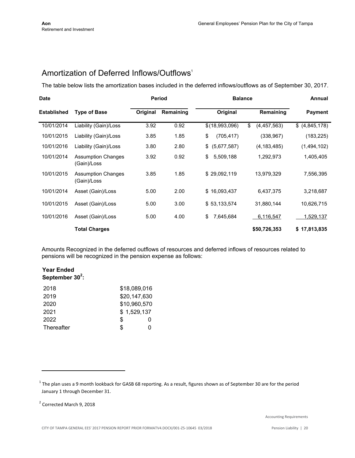## Amortization of Deferred Inflows/Outflows<sup>1</sup>

The table below lists the amortization bases included in the deferred inflows/outflows as of September 30, 2017.

| <b>Date</b>        |                                          |          | <b>Period</b> | <b>Balance</b>    |                   | Annual           |
|--------------------|------------------------------------------|----------|---------------|-------------------|-------------------|------------------|
| <b>Established</b> | <b>Type of Base</b>                      | Original | Remaining     | Original          | Remaining         | <b>Payment</b>   |
| 10/01/2014         | Liability (Gain)/Loss                    | 3.92     | 0.92          | \$(18,993,096)    | \$<br>(4,457,563) | \$ (4,845,178)   |
| 10/01/2015         | Liability (Gain)/Loss                    | 3.85     | 1.85          | \$<br>(705, 417)  | (338, 967)        | (183, 225)       |
| 10/01/2016         | Liability (Gain)/Loss                    | 3.80     | 2.80          | (5,677,587)<br>\$ | (4, 183, 485)     | (1,494,102)      |
| 10/01/2014         | <b>Assumption Changes</b><br>(Gain)/Loss | 3.92     | 0.92          | 5,509,188<br>\$   | 1,292,973         | 1,405,405        |
| 10/01/2015         | <b>Assumption Changes</b><br>(Gain)/Loss | 3.85     | 1.85          | \$29,092,119      | 13,979,329        | 7,556,395        |
| 10/01/2014         | Asset (Gain)/Loss                        | 5.00     | 2.00          | \$16,093,437      | 6,437,375         | 3,218,687        |
| 10/01/2015         | Asset (Gain)/Loss                        | 5.00     | 3.00          | \$53,133,574      | 31,880,144        | 10,626,715       |
| 10/01/2016         | Asset (Gain)/Loss                        | 5.00     | 4.00          | 7,645,684<br>\$   | 6,116,547         | <u>1,529,137</u> |
|                    | <b>Total Charges</b>                     |          |               |                   | \$50,726,353      | \$17,813,835     |

Amounts Recognized in the deferred outflows of resources and deferred inflows of resources related to pensions will be recognized in the pension expense as follows:

#### **Year Ended September 30<sup>2</sup> :**

| 2018       | \$18,089,016 |   |
|------------|--------------|---|
| 2019       | \$20,147,630 |   |
| 2020       | \$10,960,570 |   |
| 2021       | \$1,529,137  |   |
| 2022       | \$           | 0 |
| Thereafter | \$.          |   |

 $^1$  The plan uses a 9 month lookback for GASB 68 reporting. As a result, figures shown as of September 30 are for the period January 1 through December 31.

<sup>&</sup>lt;sup>2</sup> Corrected March 9, 2018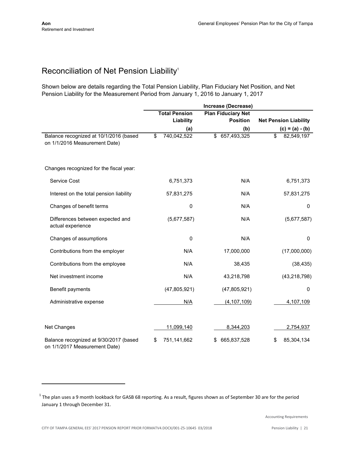## Reconciliation of Net Pension Liability<sup>1</sup>

Shown below are details regarding the Total Pension Liability, Plan Fiduciary Net Position, and Net Pension Liability for the Measurement Period from January 1, 2016 to January 1, 2017

|                                                                         |                      | Increase (Decrease)       |                              |
|-------------------------------------------------------------------------|----------------------|---------------------------|------------------------------|
|                                                                         | <b>Total Pension</b> | <b>Plan Fiduciary Net</b> |                              |
|                                                                         | Liability            | <b>Position</b>           | <b>Net Pension Liability</b> |
|                                                                         | (a)                  | (b)                       | $(c) = (a) - (b)$            |
| Balance recognized at 10/1/2016 (based<br>on 1/1/2016 Measurement Date) | 740,042,522<br>\$    | 657,493,325<br>\$         | \$<br>82,549,197             |
| Changes recognized for the fiscal year:                                 |                      |                           |                              |
| Service Cost                                                            | 6,751,373            | N/A                       | 6,751,373                    |
| Interest on the total pension liability                                 | 57,831,275           | N/A                       | 57,831,275                   |
| Changes of benefit terms                                                |                      | 0<br>N/A                  | 0                            |
| Differences between expected and<br>actual experience                   | (5,677,587)          | N/A                       | (5,677,587)                  |
| Changes of assumptions                                                  |                      | 0<br>N/A                  | $\mathbf 0$                  |
| Contributions from the employer                                         | N/A                  | 17,000,000                | (17,000,000)                 |
| Contributions from the employee                                         | N/A                  | 38,435                    | (38, 435)                    |
| Net investment income                                                   | N/A                  | 43,218,798                | (43, 218, 798)               |
| Benefit payments                                                        | (47,805,921)         | (47, 805, 921)            | $\Omega$                     |
| Administrative expense                                                  | N/A                  | (4, 107, 109)             | 4,107,109                    |
| Net Changes                                                             | 11,099,140           | 8,344,203                 | 2,754,937                    |
| Balance recognized at 9/30/2017 (based<br>on 1/1/2017 Measurement Date) | 751,141,662<br>\$    | 665,837,528<br>S          | 85,304,134<br>\$             |

 $^1$  The plan uses a 9 month lookback for GASB 68 reporting. As a result, figures shown as of September 30 are for the period January 1 through December 31.

Accounting Requirements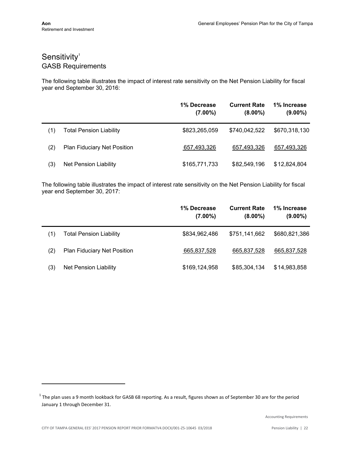## Sensitivity<sup>1</sup> GASB Requirements

The following table illustrates the impact of interest rate sensitivity on the Net Pension Liability for fiscal year end September 30, 2016:

|     |                                    | 1% Decrease<br>$(7.00\%)$ | <b>Current Rate</b><br>$(8.00\%)$ | 1% Increase<br>$(9.00\%)$ |
|-----|------------------------------------|---------------------------|-----------------------------------|---------------------------|
| (1) | <b>Total Pension Liability</b>     | \$823,265,059             | \$740,042,522                     | \$670,318,130             |
| (2) | <b>Plan Fiduciary Net Position</b> | 657,493,326               | 657,493,326                       | 657,493,326               |
| (3) | Net Pension Liability              | \$165,771,733             | \$82,549,196                      | \$12,824,804              |

The following table illustrates the impact of interest rate sensitivity on the Net Pension Liability for fiscal year end September 30, 2017:

|     |                                | 1% Decrease<br>$(7.00\%)$ | <b>Current Rate</b><br>$(8.00\%)$ | 1% Increase<br>$(9.00\%)$ |
|-----|--------------------------------|---------------------------|-----------------------------------|---------------------------|
| (1) | <b>Total Pension Liability</b> | \$834,962,486             | \$751,141,662                     | \$680,821,386             |
| (2) | Plan Fiduciary Net Position    | 665,837,528               | 665,837,528                       | 665,837,528               |
| (3) | <b>Net Pension Liability</b>   | \$169,124,958             | \$85,304,134                      | \$14,983,858              |

 $^1$  The plan uses a 9 month lookback for GASB 68 reporting. As a result, figures shown as of September 30 are for the period January 1 through December 31.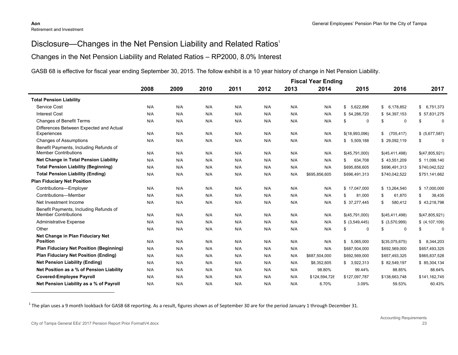## Disclosure—Changes in the Net Pension Liability and Related Ratios<sup>1</sup>

#### Changes in the Net Pension Liability and Related Ratios – RP2000, 8.0% Interest

GASB 68 is effective for fiscal year ending September 30, 2015. The follow exhibit is a 10 year history of change in Net Pension Liability.

|                                                                       |      | <b>Fiscal Year Ending</b> |      |      |      |      |               |                   |                  |                           |
|-----------------------------------------------------------------------|------|---------------------------|------|------|------|------|---------------|-------------------|------------------|---------------------------|
|                                                                       | 2008 | 2009                      | 2010 | 2011 | 2012 | 2013 | 2014          | 2015              | 2016             | 2017                      |
| <b>Total Pension Liability</b>                                        |      |                           |      |      |      |      |               |                   |                  |                           |
| Service Cost                                                          | N/A  | N/A                       | N/A  | N/A  | N/A  | N/A  | N/A           | \$<br>5,622,896   | \$<br>6,178,852  | 6,751,373<br>$\mathbb{S}$ |
| <b>Interest Cost</b>                                                  | N/A  | N/A                       | N/A  | N/A  | N/A  | N/A  | N/A           | \$54,286,720      | \$54,397,153     | \$57,831,275              |
| <b>Changes of Benefit Terms</b>                                       | N/A  | N/A                       | N/A  | N/A  | N/A  | N/A  | N/A           | \$<br>$\mathbf 0$ | 0<br>\$          | $\mathbf 0$<br>\$         |
| Differences Between Expected and Actual<br>Experiences                | N/A  | N/A                       | N/A  | N/A  | N/A  | N/A  | N/A           | \$(18,993,096)    | (705, 417)<br>\$ | \$ (5,677,587)            |
| <b>Changes of Assumptions</b>                                         | N/A  | N/A                       | N/A  | N/A  | N/A  | N/A  | N/A           | \$5,509,188       | \$29,092,119     | \$<br>$\mathbf 0$         |
| Benefit Payments, Including Refunds of                                |      |                           |      |      |      |      |               |                   |                  |                           |
| <b>Member Contributions</b>                                           | N/A  | N/A                       | N/A  | N/A  | N/A  | N/A  | N/A           | \$(45,791,000)    | \$(45,411,498)   | \$(47,805,921)            |
| Net Change in Total Pension Liability                                 | N/A  | N/A                       | N/A  | N/A  | N/A  | N/A  | N/A           | 634,708<br>\$     | \$43,551,209     | \$11,099,140              |
| <b>Total Pension Liability (Beginning)</b>                            | N/A  | N/A                       | N/A  | N/A  | N/A  | N/A  | N/A           | \$695,856,605     | \$696,491,313    | \$740,042,522             |
| <b>Total Pension Liability (Ending)</b>                               | N/A  | N/A                       | N/A  | N/A  | N/A  | N/A  | \$695,856,605 | \$696,491,313     | \$740,042,522    | \$751,141,662             |
| <b>Plan Fiduciary Net Position</b>                                    |      |                           |      |      |      |      |               |                   |                  |                           |
| Contributions-Employer                                                | N/A  | N/A                       | N/A  | N/A  | N/A  | N/A  | N/A           | \$17,047,000      | \$13,264,540     | \$17,000,000              |
| Contributions-Member                                                  | N/A  | N/A                       | N/A  | N/A  | N/A  | N/A  | N/A           | 81,000<br>\$      | \$.<br>61,870    | 38,435<br>\$              |
| Net Investment Income                                                 | N/A  | N/A                       | N/A  | N/A  | N/A  | N/A  | N/A           | \$ 37,277,445     | 580,412<br>\$.   | \$43,218,798              |
| Benefit Payments, Including Refunds of<br><b>Member Contributions</b> | N/A  | N/A                       | N/A  | N/A  | N/A  | N/A  | N/A           | \$(45,791,000)    | \$(45,411,498)   | \$(47,805,921)            |
| <b>Administrative Expense</b>                                         | N/A  | N/A                       | N/A  | N/A  | N/A  | N/A  | N/A           | $$$ $(3,549,445)$ | $$$ (3,570,999)  | \$(4, 107, 109)           |
| Other                                                                 | N/A  | N/A                       | N/A  | N/A  | N/A  | N/A  | N/A           | \$<br>$\mathbf 0$ | \$<br>0          | \$<br>$\mathbf 0$         |
| Net Change in Plan Fiduciary Net                                      |      |                           |      |      |      |      |               |                   |                  |                           |
| <b>Position</b>                                                       | N/A  | N/A                       | N/A  | N/A  | N/A  | N/A  | N/A           | \$5,065,000       | \$(35,075,675)   | \$8,344,203               |
| <b>Plan Fiduciary Net Position (Beginning)</b>                        | N/A  | N/A                       | N/A  | N/A  | N/A  | N/A  | N/A           | \$687,504,000     | \$692,569,000    | \$657,493,325             |
| <b>Plan Fiduciary Net Position (Ending)</b>                           | N/A  | N/A                       | N/A  | N/A  | N/A  | N/A  | \$687,504,000 | \$692,569,000     | \$657,493,325    | \$665,837,528             |
| <b>Net Pension Liability (Ending)</b>                                 | N/A  | N/A                       | N/A  | N/A  | N/A  | N/A  | \$8,352,605   | \$3,922,313       | \$ 82,549,197    | \$ 85,304,134             |
| Net Position as a % of Pension Liability                              | N/A  | N/A                       | N/A  | N/A  | N/A  | N/A  | 98.80%        | 99.44%            | 88.85%           | 88.64%                    |
| <b>Covered-Employee Payroll</b>                                       | N/A  | N/A                       | N/A  | N/A  | N/A  | N/A  | \$124,594,728 | \$127,097,787     | \$138,663,748    | \$141,162,745             |
| Net Pension Liability as a % of Payroll                               | N/A  | N/A                       | N/A  | N/A  | N/A  | N/A  | 6.70%         | 3.09%             | 59.53%           | 60.43%                    |

 $^1$  The plan uses a 9 month lookback for GASB 68 reporting. As a result, figures shown as of September 30 are for the period January 1 through December 31.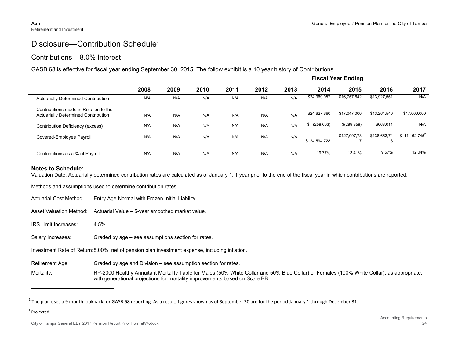## Disclosure—Contribution Schedule<sup>1</sup>

#### Contributions – 8.0% Interest

GASB 68 is effective for fiscal year ending September 30, 2015. The follow exhibit is a 10 year history of Contributions.

|                                                                                     |      | <b>Fiscal Year Ending</b> |      |      |      |      |                  |              |                   |                  |
|-------------------------------------------------------------------------------------|------|---------------------------|------|------|------|------|------------------|--------------|-------------------|------------------|
|                                                                                     | 2008 | 2009                      | 2010 | 2011 | 2012 | 2013 | 2014             | 2015         | 2016              | 2017             |
| <b>Actuarially Determined Contribution</b>                                          | N/A  | N/A                       | N/A  | N/A  | N/A  | N/A  | \$24,369,057     | \$16,757,642 | \$13,927,551      | N/A              |
| Contributions made in Relation to the<br><b>Actuarially Determined Contribution</b> | N/A  | N/A                       | N/A  | N/A  | N/A  | N/A  | \$24,627,660     | \$17,047,000 | \$13,264,540      | \$17,000,000     |
| Contribution Deficiency (excess)                                                    | N/A  | N/A                       | N/A  | N/A  | N/A  | N/A  | (258, 603)<br>\$ | \$(289,358)  | \$663,011         | N/A              |
| Covered-Employee Payroll                                                            | N/A  | N/A                       | N/A  | N/A  | N/A  | N/A  | \$124,594,728    | \$127.097.78 | \$138,663.74<br>8 | $$141,162,745^2$ |
| Contributions as a % of Payroll                                                     | N/A  | N/A                       | N/A  | N/A  | N/A  | N/A  | 19.77%           | 13.41%       | 9.57%             | 12.04%           |

#### **Notes to Schedule:**

Valuation Date: Actuarially determined contribution rates are calculated as of January 1, 1 year prior to the end of the fiscal year in which contributions are reported.

Methods and assumptions used to determine contribution rates:

- Actuarial Cost Method: Entry Age Normal with Frozen Initial Liability
- Asset Valuation Method: Actuarial Value 5-year smoothed market value.
- IRS Limit Increases: 4.5%

Salary Increases: Graded by age – see assumptions section for rates.

Investment Rate of Return:8.00%, net of pension plan investment expense, including inflation.

Retirement Age: Graded by age and Division – see assumption section for rates.

Mortality: RP-2000 Healthy Annuitant Mortality Table for Males (50% White Collar and 50% Blue Collar) or Females (100% White Collar), as appropriate, with generational projections for mortality improvements based on Scale BB.

City of Tampa General EEs' 2017 Pension Report Prior FormatV4.docx 24

 $^1$  The plan uses a 9 month lookback for GASB 68 reporting. As a result, figures shown as of September 30 are for the period January 1 through December 31.

<sup>&</sup>lt;sup>2</sup> Projected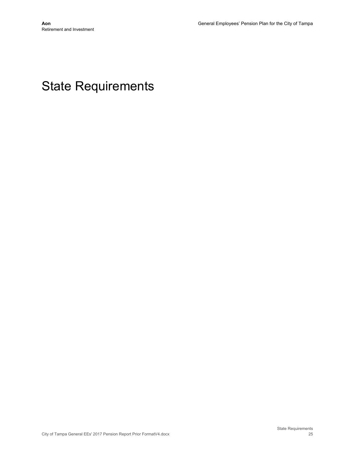## State Requirements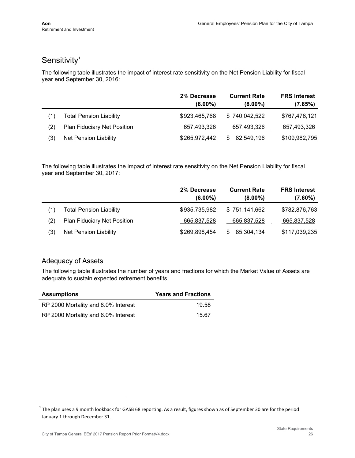## Sensitivity<sup>1</sup>

The following table illustrates the impact of interest rate sensitivity on the Net Pension Liability for fiscal year end September 30, 2016:

|     |                                    | 2% Decrease<br>$(6.00\%)$ | <b>Current Rate</b><br>$(8.00\%)$ | <b>FRS Interest</b><br>(7.65%) |
|-----|------------------------------------|---------------------------|-----------------------------------|--------------------------------|
| (1) | <b>Total Pension Liability</b>     | \$923,465,768             | \$740.042.522                     | \$767,476,121                  |
| (2) | <b>Plan Fiduciary Net Position</b> | 657,493,326               | 657,493,326                       | 657,493,326                    |
| (3) | Net Pension Liability              | \$265,972,442             | 82,549,196<br>S                   | \$109,982,795                  |

The following table illustrates the impact of interest rate sensitivity on the Net Pension Liability for fiscal year end September 30, 2017:

|     |                                | 2% Decrease<br>$(6.00\%)$ | <b>Current Rate</b><br>$(8.00\%)$ | <b>FRS Interest</b><br>$(7.60\%)$ |
|-----|--------------------------------|---------------------------|-----------------------------------|-----------------------------------|
| (1) | <b>Total Pension Liability</b> | \$935,735,982             | \$751,141,662                     | \$782,876,763                     |
| (2) | Plan Fiduciary Net Position    | 665,837,528               | 665,837,528                       | 665,837,528                       |
| (3) | <b>Net Pension Liability</b>   | \$269,898,454             | 85,304,134<br>S                   | \$117,039,235                     |

#### Adequacy of Assets

The following table illustrates the number of years and fractions for which the Market Value of Assets are adequate to sustain expected retirement benefits.

| <b>Assumptions</b>                  | <b>Years and Fractions</b> |
|-------------------------------------|----------------------------|
| RP 2000 Mortality and 8.0% Interest | 19.58                      |
| RP 2000 Mortality and 6.0% Interest | 15.67                      |

 $^1$  The plan uses a 9 month lookback for GASB 68 reporting. As a result, figures shown as of September 30 are for the period January 1 through December 31.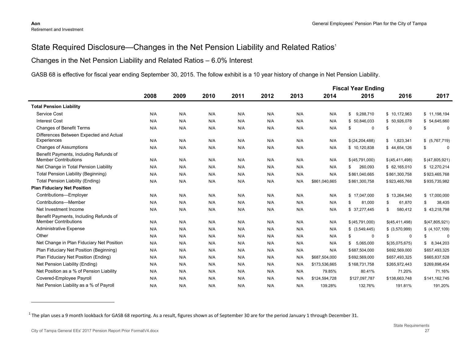## State Required Disclosure—Changes in the Net Pension Liability and Related Ratios<sup>1</sup>

#### Changes in the Net Pension Liability and Related Ratios – 6.0% Interest

GASB 68 is effective for fiscal year ending September 30, 2015. The follow exhibit is a 10 year history of change in Net Pension Liability.

|                                                                       |      |      |      |      |      |      |               | <b>Fiscal Year Ending</b> |                   |                    |
|-----------------------------------------------------------------------|------|------|------|------|------|------|---------------|---------------------------|-------------------|--------------------|
|                                                                       | 2008 | 2009 | 2010 | 2011 | 2012 | 2013 | 2014          | 2015                      | 2016              | 2017               |
| <b>Total Pension Liability</b>                                        |      |      |      |      |      |      |               |                           |                   |                    |
| Service Cost                                                          | N/A  | N/A  | N/A  | N/A  | N/A  | N/A  | N/A           | 9,288,710<br>\$           | \$10,172,963      | \$11,198,194       |
| <b>Interest Cost</b>                                                  | N/A  | N/A  | N/A  | N/A  | N/A  | N/A  | N/A           | \$50,846,033              | \$50,926,078      | \$54,645,660       |
| <b>Changes of Benefit Terms</b>                                       | N/A  | N/A  | N/A  | N/A  | N/A  | N/A  | N/A           | $\mathbf 0$<br>\$         | $\mathbf 0$<br>\$ | $\mathbf 0$<br>\$. |
| Differences Between Expected and Actual<br>Experiences                | N/A  | N/A  | N/A  | N/A  | N/A  | N/A  | N/A           | \$ (24, 204, 488)         | 1,823,341<br>\$   | \$ (5,767,719)     |
| <b>Changes of Assumptions</b>                                         | N/A  | N/A  | N/A  | N/A  | N/A  | N/A  | N/A           | \$10,120,838              | \$44,654,126      | $\mathbf 0$<br>\$  |
| Benefit Payments, Including Refunds of<br><b>Member Contributions</b> | N/A  | N/A  | N/A  | N/A  | N/A  | N/A  | N/A           | \$ (45,791,000)           | \$ (45, 411, 498) | \$ (47,805,921)    |
| Net Change in Total Pension Liability                                 | N/A  | N/A  | N/A  | N/A  | N/A  | N/A  | N/A           | 260,093<br>\$             | \$62,165,010      | \$12,270,214       |
| Total Pension Liability (Beginning)                                   | N/A  | N/A  | N/A  | N/A  | N/A  | N/A  | N/A           | \$861,040,665             | \$861,300,758     | \$923,465,768      |
| <b>Total Pension Liability (Ending)</b>                               | N/A  | N/A  | N/A  | N/A  | N/A  | N/A  | \$861,040,665 | \$861,300,758             | \$923,465,768     | \$935,735,982      |
| <b>Plan Fiduciary Net Position</b>                                    |      |      |      |      |      |      |               |                           |                   |                    |
| Contributions-Employer                                                | N/A  | N/A  | N/A  | N/A  | N/A  | N/A  | N/A           | \$17,047,000              | \$13,264,540      | \$17,000,000       |
| Contributions-Member                                                  | N/A  | N/A  | N/A  | N/A  | N/A  | N/A  | N/A           | 81.000<br>\$              | \$                |                    |
| Net Investment Income                                                 |      |      |      |      |      |      |               |                           | 61,870            | \$<br>38,435       |
|                                                                       | N/A  | N/A  | N/A  | N/A  | N/A  | N/A  | N/A           | \$ 37,277,445             | \$<br>580,412     | \$43,218,798       |
| Benefit Payments, Including Refunds of<br><b>Member Contributions</b> | N/A  | N/A  | N/A  | N/A  | N/A  | N/A  | N/A           | \$ (45,791,000)           | \$(45,411,498)    | \$(47,805,921)     |
| <b>Administrative Expense</b>                                         | N/A  | N/A  | N/A  | N/A  | N/A  | N/A  | N/A           | \$ (3,549,445)            | \$ (3,570,999)    | \$(4,107,109)      |
| Other                                                                 | N/A  | N/A  | N/A  | N/A  | N/A  | N/A  | N/A           | \$<br>$\mathbf 0$         | \$<br>$\mathbf 0$ | \$<br>$\mathbf 0$  |
| Net Change in Plan Fiduciary Net Position                             | N/A  | N/A  | N/A  | N/A  | N/A  | N/A  | N/A           | 5,065,000<br>\$           | \$(35,075,675)    | \$8,344,203        |
| Plan Fiduciary Net Position (Beginning)                               | N/A  | N/A  | N/A  | N/A  | N/A  | N/A  | N/A           | \$687,504,000             | \$692,569,000     | \$657,493,325      |
| Plan Fiduciary Net Position (Ending)                                  | N/A  | N/A  | N/A  | N/A  | N/A  | N/A  | \$687,504,000 | \$692,569,000             | \$657,493,325     | \$665,837,528      |
| Net Pension Liability (Ending)                                        | N/A  | N/A  | N/A  | N/A  | N/A  | N/A  | \$173,536,665 | \$168,731,758             | \$265,972,443     | \$269,898,454      |
| Net Position as a % of Pension Liability                              | N/A  | N/A  | N/A  | N/A  | N/A  | N/A  | 79.85%        | 80.41%                    | 71.20%            | 71.16%             |
| Covered-Employee Payroll                                              | N/A  | N/A  | N/A  | N/A  | N/A  | N/A  | \$124,594,728 | \$127,097,787             | \$138,663,748     | \$141,162,745      |
| Net Pension Liability as a % of Payroll                               | N/A  | N/A  | N/A  | N/A  | N/A  | N/A  | 139.28%       | 132.76%                   | 191.81%           | 191.20%            |

 $^1$  The plan uses a 9 month lookback for GASB 68 reporting. As a result, figures shown as of September 30 are for the period January 1 through December 31.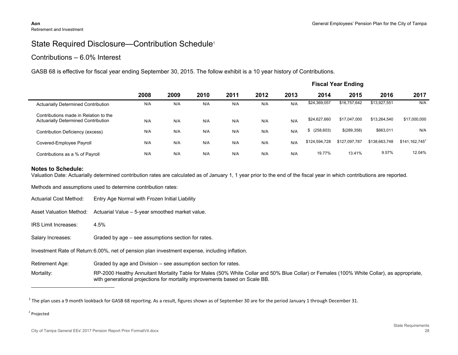## State Required Disclosure-Contribution Schedule<sup>1</sup>

#### Contributions – 6.0% Interest

GASB 68 is effective for fiscal year ending September 30, 2015. The follow exhibit is a 10 year history of Contributions.

|                                                                                     | <b>Fiscal Year Ending</b> |      |      |      |      |      |                  |               |               |                  |
|-------------------------------------------------------------------------------------|---------------------------|------|------|------|------|------|------------------|---------------|---------------|------------------|
|                                                                                     | 2008                      | 2009 | 2010 | 2011 | 2012 | 2013 | 2014             | 2015          | 2016          | 2017             |
| <b>Actuarially Determined Contribution</b>                                          | N/A                       | N/A  | N/A  | N/A  | N/A  | N/A  | \$24,369,057     | \$16,757,642  | \$13,927,551  | N/A              |
| Contributions made in Relation to the<br><b>Actuarially Determined Contribution</b> | N/A                       | N/A  | N/A  | N/A  | N/A  | N/A  | \$24,627,660     | \$17.047.000  | \$13,264,540  | \$17,000,000     |
| Contribution Deficiency (excess)                                                    | N/A                       | N/A  | N/A  | N/A  | N/A  | N/A  | (258, 603)<br>\$ | \$(289,358)   | \$663,011     | N/A              |
| Covered-Employee Payroll                                                            | N/A                       | N/A  | N/A  | N/A  | N/A  | N/A  | \$124.594.728    | \$127,097,787 | \$138,663,748 | $$141,162,745^2$ |
| Contributions as a % of Payroll                                                     | N/A                       | N/A  | N/A  | N/A  | N/A  | N/A  | 19.77%           | 13.41%        | 9.57%         | 12.04%           |

#### **Notes to Schedule:**

Valuation Date: Actuarially determined contribution rates are calculated as of January 1, 1 year prior to the end of the fiscal year in which contributions are reported.

Methods and assumptions used to determine contribution rates:

- Actuarial Cost Method: Entry Age Normal with Frozen Initial Liability
- Asset Valuation Method: Actuarial Value 5-year smoothed market value.
- IRS Limit Increases: 4.5%
- Salary Increases: Graded by age see assumptions section for rates.

Investment Rate of Return:6.00%, net of pension plan investment expense, including inflation.

Retirement Age: Graded by age and Division – see assumption section for rates.

Mortality: RP-2000 Healthy Annuitant Mortality Table for Males (50% White Collar and 50% Blue Collar) or Females (100% White Collar), as appropriate, with generational projections for mortality improvements based on Scale BB.

<sup>2</sup> Projected

 $^1$  The plan uses a 9 month lookback for GASB 68 reporting. As a result, figures shown as of September 30 are for the period January 1 through December 31.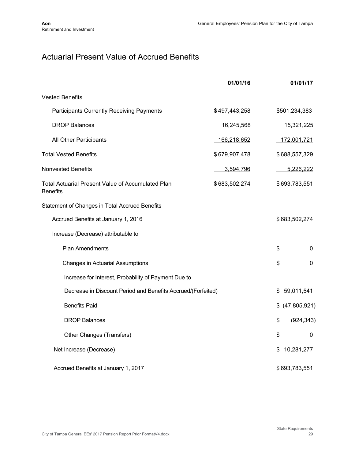## Actuarial Present Value of Accrued Benefits

|                                                                             | 01/01/16      |               | 01/01/17        |
|-----------------------------------------------------------------------------|---------------|---------------|-----------------|
| <b>Vested Benefits</b>                                                      |               |               |                 |
| <b>Participants Currently Receiving Payments</b>                            | \$497,443,258 | \$501,234,383 |                 |
| <b>DROP Balances</b>                                                        | 16,245,568    |               | 15,321,225      |
| All Other Participants                                                      | 166,218,652   |               | 172,001,721     |
| <b>Total Vested Benefits</b>                                                | \$679,907,478 | \$688,557,329 |                 |
| <b>Nonvested Benefits</b>                                                   | 3,594,796     |               | 5,226,222       |
| <b>Total Actuarial Present Value of Accumulated Plan</b><br><b>Benefits</b> | \$683,502,274 | \$693,783,551 |                 |
| Statement of Changes in Total Accrued Benefits                              |               |               |                 |
| Accrued Benefits at January 1, 2016                                         |               | \$683,502,274 |                 |
| Increase (Decrease) attributable to                                         |               |               |                 |
| <b>Plan Amendments</b>                                                      |               | \$            | 0               |
| <b>Changes in Actuarial Assumptions</b>                                     |               | \$            | 0               |
| Increase for Interest, Probability of Payment Due to                        |               |               |                 |
| Decrease in Discount Period and Benefits Accrued/(Forfeited)                |               | \$            | 59,011,541      |
| <b>Benefits Paid</b>                                                        |               |               | \$ (47,805,921) |
| <b>DROP Balances</b>                                                        |               | \$            | (924, 343)      |
| Other Changes (Transfers)                                                   |               | \$            | 0               |
| Net Increase (Decrease)                                                     |               | \$            | 10,281,277      |
| Accrued Benefits at January 1, 2017                                         |               | \$693,783,551 |                 |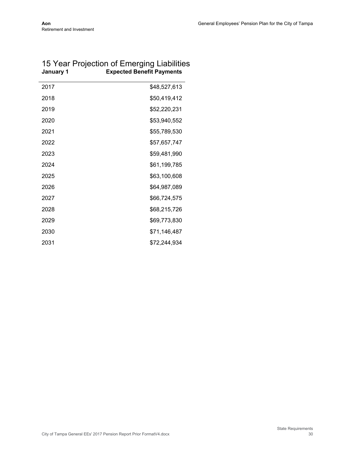| January 1 | <b>Expected Benefit Payments</b> |
|-----------|----------------------------------|
| 2017      | \$48,527,613                     |
| 2018      | \$50,419,412                     |
| 2019      | \$52,220,231                     |
| 2020      | \$53,940,552                     |
| 2021      | \$55,789,530                     |
| 2022      | \$57,657,747                     |
| 2023      | \$59,481,990                     |
| 2024      | \$61,199,785                     |
| 2025      | \$63,100,608                     |
| 2026      | \$64,987,089                     |
| 2027      | \$66,724,575                     |
| 2028      | \$68,215,726                     |
| 2029      | \$69,773,830                     |
| 2030      | \$71,146,487                     |
| 2031      | \$72,244,934                     |

### 15 Year Projection of Emerging Liabilities **January 1 Expected Benefit Payments**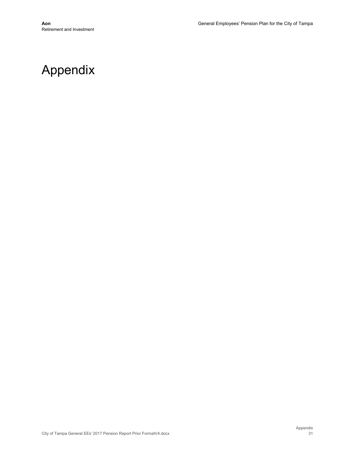## Appendix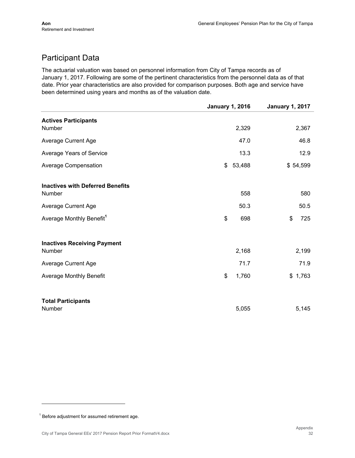## Participant Data

The actuarial valuation was based on personnel information from City of Tampa records as of January 1, 2017. Following are some of the pertinent characteristics from the personnel data as of that date. Prior year characteristics are also provided for comparison purposes. Both age and service have been determined using years and months as of the valuation date.

|                                                   | <b>January 1, 2016</b> | <b>January 1, 2017</b> |
|---------------------------------------------------|------------------------|------------------------|
| <b>Actives Participants</b>                       |                        |                        |
| Number                                            | 2,329                  | 2,367                  |
| <b>Average Current Age</b>                        |                        | 46.8<br>47.0           |
| Average Years of Service                          |                        | 13.3<br>12.9           |
| Average Compensation                              | 53,488<br>\$           | \$54,599               |
| <b>Inactives with Deferred Benefits</b><br>Number |                        | 558<br>580             |
|                                                   |                        |                        |
| <b>Average Current Age</b>                        |                        | 50.3<br>50.5           |
| Average Monthly Benefit <sup>1</sup>              | \$                     | \$<br>698<br>725       |
| <b>Inactives Receiving Payment</b>                |                        |                        |
| Number                                            | 2,168                  | 2,199                  |
| Average Current Age                               |                        | 71.9<br>71.7           |
| <b>Average Monthly Benefit</b>                    | \$<br>1,760            | \$1,763                |
| <b>Total Participants</b>                         |                        |                        |
| Number                                            | 5,055                  | 5,145                  |

 $1$  Before adjustment for assumed retirement age.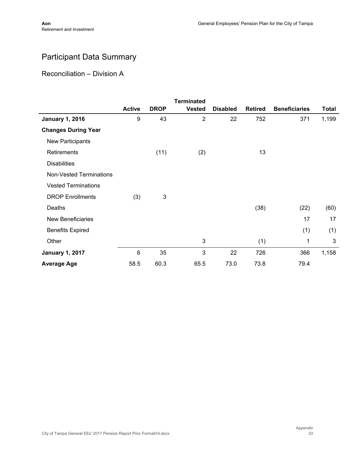l,

## Participant Data Summary

Reconciliation – Division A

|                                |               |             | <b>Terminated</b> |                 |                |                      |              |
|--------------------------------|---------------|-------------|-------------------|-----------------|----------------|----------------------|--------------|
|                                | <b>Active</b> | <b>DROP</b> | <b>Vested</b>     | <b>Disabled</b> | <b>Retired</b> | <b>Beneficiaries</b> | <b>Total</b> |
| <b>January 1, 2016</b>         | 9             | 43          | $\overline{2}$    | 22              | 752            | 371                  | 1,199        |
| <b>Changes During Year</b>     |               |             |                   |                 |                |                      |              |
| New Participants               |               |             |                   |                 |                |                      |              |
| Retirements                    |               | (11)        | (2)               |                 | 13             |                      |              |
| <b>Disabilities</b>            |               |             |                   |                 |                |                      |              |
| <b>Non-Vested Terminations</b> |               |             |                   |                 |                |                      |              |
| <b>Vested Terminations</b>     |               |             |                   |                 |                |                      |              |
| <b>DROP Enrollments</b>        | (3)           | 3           |                   |                 |                |                      |              |
| Deaths                         |               |             |                   |                 | (38)           | (22)                 | (60)         |
| <b>New Beneficiaries</b>       |               |             |                   |                 |                | 17                   | 17           |
| <b>Benefits Expired</b>        |               |             |                   |                 |                | (1)                  | (1)          |
| Other                          |               |             | 3                 |                 | (1)            | 1                    | 3            |
| <b>January 1, 2017</b>         | 6             | 35          | 3                 | 22              | 726            | 366                  | 1,158        |
| <b>Average Age</b>             | 58.5          | 60.3        | 65.5              | 73.0            | 73.8           | 79.4                 |              |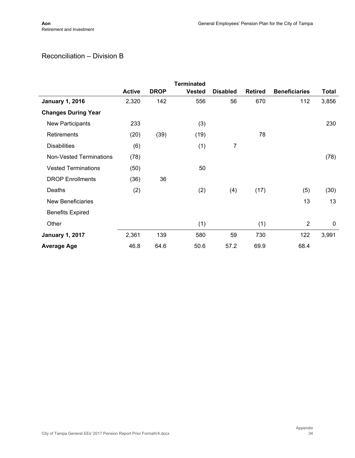## Reconciliation – Division B

|                                |               |             | <b>Terminated</b> |                 |                |                      |              |
|--------------------------------|---------------|-------------|-------------------|-----------------|----------------|----------------------|--------------|
|                                | <b>Active</b> | <b>DROP</b> | <b>Vested</b>     | <b>Disabled</b> | <b>Retired</b> | <b>Beneficiaries</b> | <b>Total</b> |
| <b>January 1, 2016</b>         | 2,320         | 142         | 556               | 56              | 670            | 112                  | 3,856        |
| <b>Changes During Year</b>     |               |             |                   |                 |                |                      |              |
| New Participants               | 233           |             | (3)               |                 |                |                      | 230          |
| Retirements                    | (20)          | (39)        | (19)              |                 | 78             |                      |              |
| <b>Disabilities</b>            | (6)           |             | (1)               | 7               |                |                      |              |
| <b>Non-Vested Terminations</b> | (78)          |             |                   |                 |                |                      | (78)         |
| <b>Vested Terminations</b>     | (50)          |             | 50                |                 |                |                      |              |
| <b>DROP Enrollments</b>        | (36)          | 36          |                   |                 |                |                      |              |
| Deaths                         | (2)           |             | (2)               | (4)             | (17)           | (5)                  | (30)         |
| <b>New Beneficiaries</b>       |               |             |                   |                 |                | 13                   | 13           |
| <b>Benefits Expired</b>        |               |             |                   |                 |                |                      |              |
| Other                          |               |             | (1)               |                 | (1)            | $\overline{2}$       | $\mathbf 0$  |
| <b>January 1, 2017</b>         | 2,361         | 139         | 580               | 59              | 730            | 122                  | 3,991        |
| <b>Average Age</b>             | 46.8          | 64.6        | 50.6              | 57.2            | 69.9           | 68.4                 |              |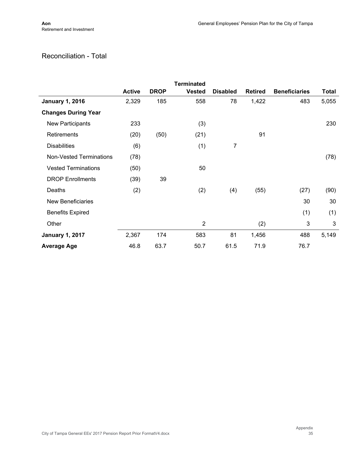### Reconciliation - Total

|                                |               |             | <b>Terminated</b> |                 |                |                      |              |
|--------------------------------|---------------|-------------|-------------------|-----------------|----------------|----------------------|--------------|
|                                | <b>Active</b> | <b>DROP</b> | <b>Vested</b>     | <b>Disabled</b> | <b>Retired</b> | <b>Beneficiaries</b> | <b>Total</b> |
| <b>January 1, 2016</b>         | 2,329         | 185         | 558               | 78              | 1,422          | 483                  | 5,055        |
| <b>Changes During Year</b>     |               |             |                   |                 |                |                      |              |
| New Participants               | 233           |             | (3)               |                 |                |                      | 230          |
| Retirements                    | (20)          | (50)        | (21)              |                 | 91             |                      |              |
| <b>Disabilities</b>            | (6)           |             | (1)               | 7               |                |                      |              |
| <b>Non-Vested Terminations</b> | (78)          |             |                   |                 |                |                      | (78)         |
| <b>Vested Terminations</b>     | (50)          |             | 50                |                 |                |                      |              |
| <b>DROP Enrollments</b>        | (39)          | 39          |                   |                 |                |                      |              |
| Deaths                         | (2)           |             | (2)               | (4)             | (55)           | (27)                 | (90)         |
| <b>New Beneficiaries</b>       |               |             |                   |                 |                | 30                   | 30           |
| <b>Benefits Expired</b>        |               |             |                   |                 |                | (1)                  | (1)          |
| Other                          |               |             | $\overline{2}$    |                 | (2)            | 3                    | 3            |
| <b>January 1, 2017</b>         | 2,367         | 174         | 583               | 81              | 1,456          | 488                  | 5,149        |
| <b>Average Age</b>             | 46.8          | 63.7        | 50.7              | 61.5            | 71.9           | 76.7                 |              |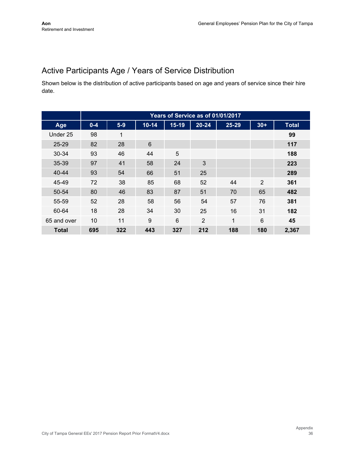## Active Participants Age / Years of Service Distribution

Shown below is the distribution of active participants based on age and years of service since their hire date.

|             | Years of Service as of 01/01/2017 |       |           |         |           |       |                |              |  |
|-------------|-----------------------------------|-------|-----------|---------|-----------|-------|----------------|--------------|--|
| Age         | $0 - 4$                           | $5-9$ | $10 - 14$ | $15-19$ | $20 - 24$ | 25-29 | $30+$          | <b>Total</b> |  |
| Under 25    | 98                                | 1     |           |         |           |       |                | 99           |  |
| 25-29       | 82                                | 28    | 6         |         |           |       |                | 117          |  |
| $30 - 34$   | 93                                | 46    | 44        | 5       |           |       |                | 188          |  |
| $35 - 39$   | 97                                | 41    | 58        | 24      | 3         |       |                | 223          |  |
| $40 - 44$   | 93                                | 54    | 66        | 51      | 25        |       |                | 289          |  |
| 45-49       | 72                                | 38    | 85        | 68      | 52        | 44    | $\overline{2}$ | 361          |  |
| 50-54       | 80                                | 46    | 83        | 87      | 51        | 70    | 65             | 482          |  |
| 55-59       | 52                                | 28    | 58        | 56      | 54        | 57    | 76             | 381          |  |
| 60-64       | 18                                | 28    | 34        | 30      | 25        | 16    | 31             | 182          |  |
| 65 and over | 10                                | 11    | 9         | 6       | 2         | 1     | 6              | 45           |  |
| Total       | 695                               | 322   | 443       | 327     | 212       | 188   | 180            | 2,367        |  |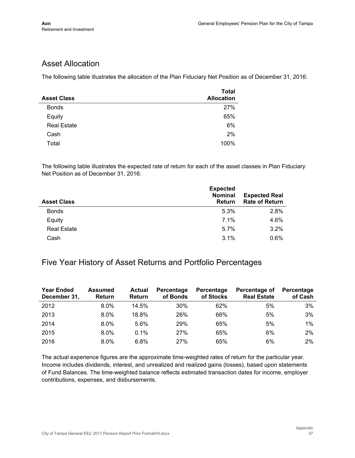## Asset Allocation

The following table illustrates the allocation of the Plan Fiduciary Net Position as of December 31, 2016:

| <b>Asset Class</b> | <b>Total</b><br><b>Allocation</b> |
|--------------------|-----------------------------------|
| <b>Bonds</b>       | 27%                               |
| Equity             | 65%                               |
| <b>Real Estate</b> | 6%                                |
| Cash               | 2%                                |
| Total              | 100%                              |

The following table illustrates the expected rate of return for each of the asset classes in Plan Fiduciary Net Position as of December 31, 2016:

| <b>Asset Class</b> | <b>Expected</b><br><b>Nominal</b><br><b>Return</b> | <b>Expected Real</b><br><b>Rate of Return</b> |
|--------------------|----------------------------------------------------|-----------------------------------------------|
| <b>Bonds</b>       | 5.3%                                               | 2.8%                                          |
| Equity             | $7.1\%$                                            | 4.6%                                          |
| <b>Real Estate</b> | 5.7%                                               | 3.2%                                          |
| Cash               | 3.1%                                               | 0.6%                                          |

#### Five Year History of Asset Returns and Portfolio Percentages

| <b>Year Ended</b><br>December 31, | <b>Assumed</b><br><b>Return</b> | <b>Actual</b><br>Return | Percentage<br>of Bonds | Percentage<br>of Stocks | Percentage of<br><b>Real Estate</b> | Percentage<br>of Cash |
|-----------------------------------|---------------------------------|-------------------------|------------------------|-------------------------|-------------------------------------|-----------------------|
| 2012                              | 8.0%                            | 14.5%                   | 30%                    | 62%                     | 5%                                  | 3%                    |
| 2013                              | $8.0\%$                         | 18.8%                   | 26%                    | 66%                     | 5%                                  | 3%                    |
| 2014                              | $8.0\%$                         | 5.6%                    | 29%                    | 65%                     | 5%                                  | $1\%$                 |
| 2015                              | $8.0\%$                         | 0.1%                    | 27%                    | 65%                     | 6%                                  | 2%                    |
| 2016                              | $8.0\%$                         | 6.8%                    | 27%                    | 65%                     | 6%                                  | 2%                    |

The actual experience figures are the approximate time-weighted rates of return for the particular year. Income includes dividends, interest, and unrealized and realized gains (losses), based upon statements of Fund Balances. The time-weighted balance reflects estimated transaction dates for income, employer contributions, expenses, and disbursements.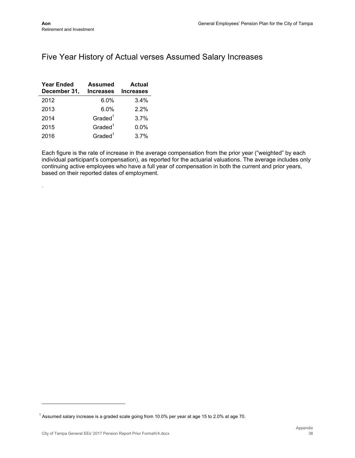.

## Five Year History of Actual verses Assumed Salary Increases

| <b>Year Ended</b><br>December 31, | <b>Assumed</b><br><b>Increases</b> | Actual<br><b>Increases</b> |
|-----------------------------------|------------------------------------|----------------------------|
| 2012                              | 6.0%                               | 3.4%                       |
| 2013                              | 6.0%                               | 2.2%                       |
| 2014                              | Graded <sup>1</sup>                | 3.7%                       |
| 2015                              | Graded <sup>1</sup>                | $0.0\%$                    |
| 2016                              | Graded <sup>1</sup>                | 3.7%                       |

Each figure is the rate of increase in the average compensation from the prior year ("weighted" by each individual participant's compensation), as reported for the actuarial valuations. The average includes only continuing active employees who have a full year of compensation in both the current and prior years, based on their reported dates of employment.

<sup>&</sup>lt;sup>1</sup> Assumed salary increase is a graded scale going from 10.0% per year at age 15 to 2.0% at age 70.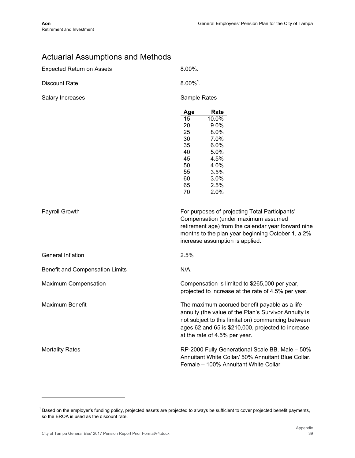## Actuarial Assumptions and Methods

| <b>Expected Return on Assets</b> | 8.00%.                                                                                                                                                                                                                                             |
|----------------------------------|----------------------------------------------------------------------------------------------------------------------------------------------------------------------------------------------------------------------------------------------------|
| <b>Discount Rate</b>             | $8.00\%$ <sup>1</sup> .                                                                                                                                                                                                                            |
| Salary Increases                 | Sample Rates                                                                                                                                                                                                                                       |
|                                  | Rate<br>Age<br>15<br>10.0%<br>9.0%<br>20<br>25<br>8.0%<br>7.0%<br>30<br>6.0%<br>35<br>5.0%<br>40<br>4.5%<br>45<br>4.0%<br>50<br>3.5%<br>55<br>3.0%<br>60<br>2.5%<br>65<br>70<br>2.0%                                                               |
| Payroll Growth                   | For purposes of projecting Total Participants'<br>Compensation (under maximum assumed<br>retirement age) from the calendar year forward nine<br>months to the plan year beginning October 1, a 2%<br>increase assumption is applied.               |
| General Inflation                | 2.5%                                                                                                                                                                                                                                               |
| Benefit and Compensation Limits  | N/A.                                                                                                                                                                                                                                               |
| Maximum Compensation             | Compensation is limited to \$265,000 per year,<br>projected to increase at the rate of 4.5% per year.                                                                                                                                              |
| <b>Maximum Benefit</b>           | The maximum accrued benefit payable as a life<br>annuity (the value of the Plan's Survivor Annuity is<br>not subject to this limitation) commencing between<br>ages 62 and 65 is \$210,000, projected to increase<br>at the rate of 4.5% per year. |
| <b>Mortality Rates</b>           | RP-2000 Fully Generational Scale BB. Male - 50%<br>Annuitant White Collar/ 50% Annuitant Blue Collar.<br>Female - 100% Annuitant White Collar                                                                                                      |

<sup>&</sup>lt;sup>1</sup> Based on the employer's funding policy, projected assets are projected to always be sufficient to cover projected benefit payments, so the EROA is used as the discount rate.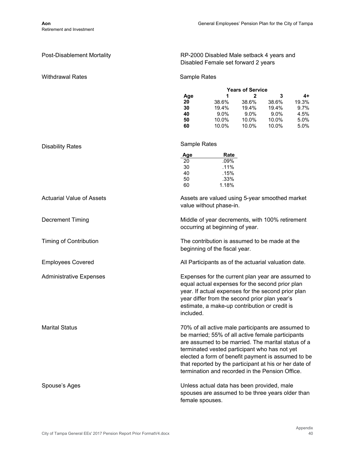| <b>Post-Disablement Mortality</b> | RP-2000 Disabled Male setback 4 years and<br>Disabled Female set forward 2 years                                                                                                                                                                                                                                                                                                  |                                                  |                                                  |                                                  |                                             |  |  |
|-----------------------------------|-----------------------------------------------------------------------------------------------------------------------------------------------------------------------------------------------------------------------------------------------------------------------------------------------------------------------------------------------------------------------------------|--------------------------------------------------|--------------------------------------------------|--------------------------------------------------|---------------------------------------------|--|--|
| <b>Withdrawal Rates</b>           | Sample Rates                                                                                                                                                                                                                                                                                                                                                                      |                                                  |                                                  |                                                  |                                             |  |  |
|                                   |                                                                                                                                                                                                                                                                                                                                                                                   |                                                  | <b>Years of Service</b>                          |                                                  |                                             |  |  |
|                                   | Age<br>20<br>30<br>40<br>50<br>60                                                                                                                                                                                                                                                                                                                                                 | 1<br>38.6%<br>19.4%<br>$9.0\%$<br>10.0%<br>10.0% | 2<br>38.6%<br>19.4%<br>$9.0\%$<br>10.0%<br>10.0% | 3<br>38.6%<br>19.4%<br>$9.0\%$<br>10.0%<br>10.0% | 4+<br>19.3%<br>9.7%<br>4.5%<br>5.0%<br>5.0% |  |  |
| <b>Disability Rates</b>           | Sample Rates                                                                                                                                                                                                                                                                                                                                                                      |                                                  |                                                  |                                                  |                                             |  |  |
|                                   | Age<br>20<br>30<br>40<br>50<br>60                                                                                                                                                                                                                                                                                                                                                 | Rate<br>.09%<br>.11%<br>.15%<br>.33%<br>1.18%    |                                                  |                                                  |                                             |  |  |
| <b>Actuarial Value of Assets</b>  | Assets are valued using 5-year smoothed market<br>value without phase-in.                                                                                                                                                                                                                                                                                                         |                                                  |                                                  |                                                  |                                             |  |  |
| <b>Decrement Timing</b>           | Middle of year decrements, with 100% retirement<br>occurring at beginning of year.                                                                                                                                                                                                                                                                                                |                                                  |                                                  |                                                  |                                             |  |  |
| <b>Timing of Contribution</b>     | The contribution is assumed to be made at the<br>beginning of the fiscal year.                                                                                                                                                                                                                                                                                                    |                                                  |                                                  |                                                  |                                             |  |  |
| <b>Employees Covered</b>          | All Participants as of the actuarial valuation date.                                                                                                                                                                                                                                                                                                                              |                                                  |                                                  |                                                  |                                             |  |  |
| <b>Administrative Expenses</b>    | Expenses for the current plan year are assumed to<br>equal actual expenses for the second prior plan<br>year. If actual expenses for the second prior plan<br>year differ from the second prior plan year's<br>estimate, a make-up contribution or credit is<br>included.                                                                                                         |                                                  |                                                  |                                                  |                                             |  |  |
| <b>Marital Status</b>             | 70% of all active male participants are assumed to<br>be married; 55% of all active female participants<br>are assumed to be married. The marital status of a<br>terminated vested participant who has not yet<br>elected a form of benefit payment is assumed to be<br>that reported by the participant at his or her date of<br>termination and recorded in the Pension Office. |                                                  |                                                  |                                                  |                                             |  |  |
| Spouse's Ages                     | Unless actual data has been provided, male<br>spouses are assumed to be three years older than<br>female spouses.                                                                                                                                                                                                                                                                 |                                                  |                                                  |                                                  |                                             |  |  |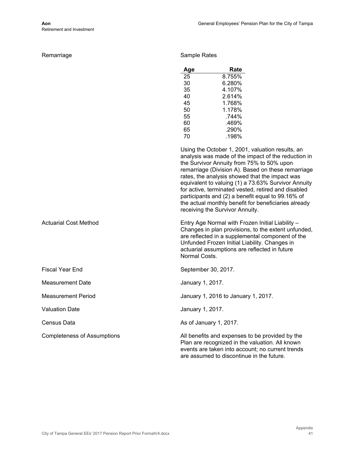|  | Remarriage |
|--|------------|
|  |            |
|  |            |
|  |            |

Sample Rates

| Age | Rate   |
|-----|--------|
| 25  | 8.755% |
| 30  | 6.280% |
| 35  | 4.107% |
| 40  | 2.614% |
| 45  | 1.768% |
| 50  | 1.178% |
| 55  | 744%   |
| 60  | .469%  |
| 65  | .290%  |
| 70  | .198%  |

Using the October 1, 2001, valuation results, an analysis was made of the impact of the reduction in the Survivor Annuity from 75% to 50% upon remarriage (Division A). Based on these remarriage rates, the analysis showed that the impact was equivalent to valuing (1) a 73.63% Survivor Annuity for active, terminated vested, retired and disabled participants and (2) a benefit equal to 99.16% of the actual monthly benefit for beneficiaries already receiving the Survivor Annuity.

Normal Costs. Actuarial Cost Method Entry Age Normal with Frozen Initial Liability – Changes in plan provisions, to the extent unfunded, are reflected in a supplemental component of the Unfunded Frozen Initial Liability. Changes in actuarial assumptions are reflected in future

are assumed to discontinue in the future.

|                                    | Normal Costs.                                                                                                                                          |
|------------------------------------|--------------------------------------------------------------------------------------------------------------------------------------------------------|
| <b>Fiscal Year End</b>             | September 30, 2017.                                                                                                                                    |
| Measurement Date                   | January 1, 2017.                                                                                                                                       |
| Measurement Period                 | January 1, 2016 to January 1, 2017.                                                                                                                    |
| <b>Valuation Date</b>              | January 1, 2017.                                                                                                                                       |
| Census Data                        | As of January 1, 2017.                                                                                                                                 |
| <b>Completeness of Assumptions</b> | All benefits and expenses to be provided by the<br>Plan are recognized in the valuation. All known<br>events are taken into account; no current trends |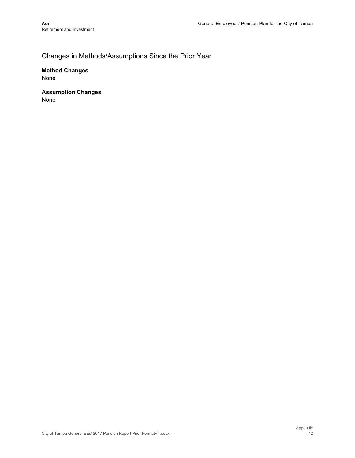## Changes in Methods/Assumptions Since the Prior Year

**Method Changes**  None

**Assumption Changes**  None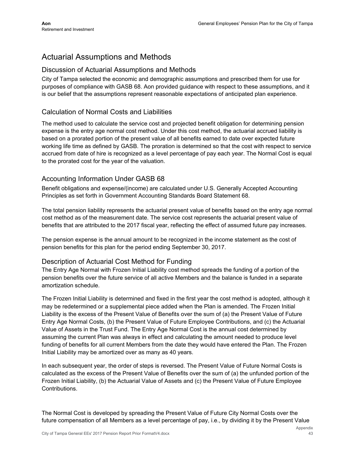## Actuarial Assumptions and Methods

#### Discussion of Actuarial Assumptions and Methods

City of Tampa selected the economic and demographic assumptions and prescribed them for use for purposes of compliance with GASB 68. Aon provided guidance with respect to these assumptions, and it is our belief that the assumptions represent reasonable expectations of anticipated plan experience.

#### Calculation of Normal Costs and Liabilities

The method used to calculate the service cost and projected benefit obligation for determining pension expense is the entry age normal cost method. Under this cost method, the actuarial accrued liability is based on a prorated portion of the present value of all benefits earned to date over expected future working life time as defined by GASB. The proration is determined so that the cost with respect to service accrued from date of hire is recognized as a level percentage of pay each year. The Normal Cost is equal to the prorated cost for the year of the valuation.

#### Accounting Information Under GASB 68

Benefit obligations and expense/(income) are calculated under U.S. Generally Accepted Accounting Principles as set forth in Government Accounting Standards Board Statement 68.

The total pension liability represents the actuarial present value of benefits based on the entry age normal cost method as of the measurement date. The service cost represents the actuarial present value of benefits that are attributed to the 2017 fiscal year, reflecting the effect of assumed future pay increases.

The pension expense is the annual amount to be recognized in the income statement as the cost of pension benefits for this plan for the period ending September 30, 2017.

#### Description of Actuarial Cost Method for Funding

The Entry Age Normal with Frozen Initial Liability cost method spreads the funding of a portion of the pension benefits over the future service of all active Members and the balance is funded in a separate amortization schedule.

The Frozen Initial Liability is determined and fixed in the first year the cost method is adopted, although it may be redetermined or a supplemental piece added when the Plan is amended. The Frozen Initial Liability is the excess of the Present Value of Benefits over the sum of (a) the Present Value of Future Entry Age Normal Costs, (b) the Present Value of Future Employee Contributions, and (c) the Actuarial Value of Assets in the Trust Fund. The Entry Age Normal Cost is the annual cost determined by assuming the current Plan was always in effect and calculating the amount needed to produce level funding of benefits for all current Members from the date they would have entered the Plan. The Frozen Initial Liability may be amortized over as many as 40 years.

In each subsequent year, the order of steps is reversed. The Present Value of Future Normal Costs is calculated as the excess of the Present Value of Benefits over the sum of (a) the unfunded portion of the Frozen Initial Liability, (b) the Actuarial Value of Assets and (c) the Present Value of Future Employee Contributions.

The Normal Cost is developed by spreading the Present Value of Future City Normal Costs over the future compensation of all Members as a level percentage of pay, i.e., by dividing it by the Present Value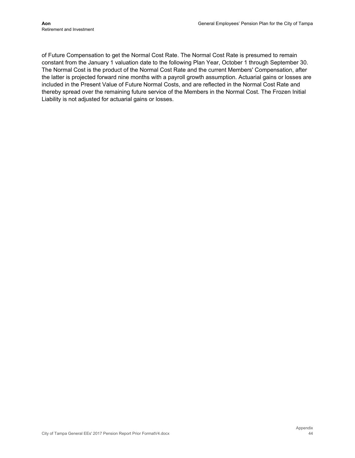of Future Compensation to get the Normal Cost Rate. The Normal Cost Rate is presumed to remain constant from the January 1 valuation date to the following Plan Year, October 1 through September 30. The Normal Cost is the product of the Normal Cost Rate and the current Members' Compensation, after the latter is projected forward nine months with a payroll growth assumption. Actuarial gains or losses are included in the Present Value of Future Normal Costs, and are reflected in the Normal Cost Rate and thereby spread over the remaining future service of the Members in the Normal Cost. The Frozen Initial Liability is not adjusted for actuarial gains or losses.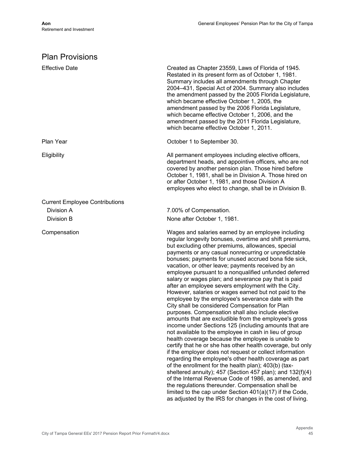## Plan Provisions

| <b>Effective Date</b>                 | Created as Chapter 23559, Laws of Florida of 1945.<br>Restated in its present form as of October 1, 1981.<br>Summary includes all amendments through Chapter<br>2004-431, Special Act of 2004. Summary also includes<br>the amendment passed by the 2005 Florida Legislature,<br>which became effective October 1, 2005, the<br>amendment passed by the 2006 Florida Legislature,<br>which became effective October 1, 2006, and the<br>amendment passed by the 2011 Florida Legislature,<br>which became effective October 1, 2011.                                                                                                                                                                                                                                                                                                                                                                                                                                                                                                                                                                                                                                                                                                                                                                                                                                                                                                                                                                                  |
|---------------------------------------|-----------------------------------------------------------------------------------------------------------------------------------------------------------------------------------------------------------------------------------------------------------------------------------------------------------------------------------------------------------------------------------------------------------------------------------------------------------------------------------------------------------------------------------------------------------------------------------------------------------------------------------------------------------------------------------------------------------------------------------------------------------------------------------------------------------------------------------------------------------------------------------------------------------------------------------------------------------------------------------------------------------------------------------------------------------------------------------------------------------------------------------------------------------------------------------------------------------------------------------------------------------------------------------------------------------------------------------------------------------------------------------------------------------------------------------------------------------------------------------------------------------------------|
| Plan Year                             | October 1 to September 30.                                                                                                                                                                                                                                                                                                                                                                                                                                                                                                                                                                                                                                                                                                                                                                                                                                                                                                                                                                                                                                                                                                                                                                                                                                                                                                                                                                                                                                                                                            |
| Eligibility                           | All permanent employees including elective officers,<br>department heads, and appointive officers, who are not<br>covered by another pension plan. Those hired before<br>October 1, 1981, shall be in Division A. Those hired on<br>or after October 1, 1981, and those Division A<br>employees who elect to change, shall be in Division B.                                                                                                                                                                                                                                                                                                                                                                                                                                                                                                                                                                                                                                                                                                                                                                                                                                                                                                                                                                                                                                                                                                                                                                          |
| <b>Current Employee Contributions</b> |                                                                                                                                                                                                                                                                                                                                                                                                                                                                                                                                                                                                                                                                                                                                                                                                                                                                                                                                                                                                                                                                                                                                                                                                                                                                                                                                                                                                                                                                                                                       |
| Division A                            | 7.00% of Compensation.                                                                                                                                                                                                                                                                                                                                                                                                                                                                                                                                                                                                                                                                                                                                                                                                                                                                                                                                                                                                                                                                                                                                                                                                                                                                                                                                                                                                                                                                                                |
| Division B                            | None after October 1, 1981.                                                                                                                                                                                                                                                                                                                                                                                                                                                                                                                                                                                                                                                                                                                                                                                                                                                                                                                                                                                                                                                                                                                                                                                                                                                                                                                                                                                                                                                                                           |
| Compensation                          | Wages and salaries earned by an employee including<br>regular longevity bonuses, overtime and shift premiums,<br>but excluding other premiums, allowances, special<br>payments or any casual nonrecurring or unpredictable<br>bonuses; payments for unused accrued bona fide sick,<br>vacation, or other leave; payments received by an<br>employee pursuant to a nonqualified unfunded deferred<br>salary or wages plan; and severance pay that is paid<br>after an employee severs employment with the City.<br>However, salaries or wages earned but not paid to the<br>employee by the employee's severance date with the<br>City shall be considered Compensation for Plan<br>purposes. Compensation shall also include elective<br>amounts that are excludible from the employee's gross<br>income under Sections 125 (including amounts that are<br>not available to the employee in cash in lieu of group<br>health coverage because the employee is unable to<br>certify that he or she has other health coverage, but only<br>if the employer does not request or collect information<br>regarding the employee's other health coverage as part<br>of the enrollment for the health plan); 403(b) (tax-<br>sheltered annuity); 457 (Section 457 plan); and 132(f)(4)<br>of the Internal Revenue Code of 1986, as amended, and<br>the regulations thereunder. Compensation shall be<br>limited to the cap under Section 401(a)(17) if the Code,<br>as adjusted by the IRS for changes in the cost of living. |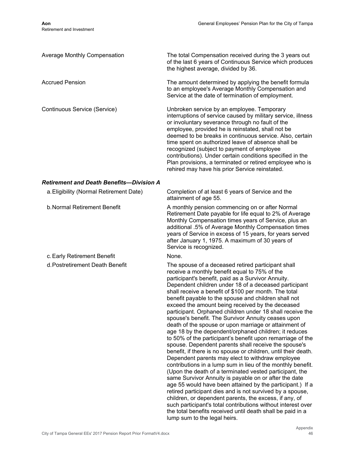| Average Monthly Compensation                    | The total Compensation received during the 3 years out<br>of the last 6 years of Continuous Service which produces<br>the highest average, divided by 36.                                                                                                                                                                                                                                                                                                                                                                                                                                                                                                                                                                                                                                                                                                                                                                                                                                                                                                                                                                                                                                                                                                                                                                                                                     |
|-------------------------------------------------|-------------------------------------------------------------------------------------------------------------------------------------------------------------------------------------------------------------------------------------------------------------------------------------------------------------------------------------------------------------------------------------------------------------------------------------------------------------------------------------------------------------------------------------------------------------------------------------------------------------------------------------------------------------------------------------------------------------------------------------------------------------------------------------------------------------------------------------------------------------------------------------------------------------------------------------------------------------------------------------------------------------------------------------------------------------------------------------------------------------------------------------------------------------------------------------------------------------------------------------------------------------------------------------------------------------------------------------------------------------------------------|
| <b>Accrued Pension</b>                          | The amount determined by applying the benefit formula<br>to an employee's Average Monthly Compensation and<br>Service at the date of termination of employment.                                                                                                                                                                                                                                                                                                                                                                                                                                                                                                                                                                                                                                                                                                                                                                                                                                                                                                                                                                                                                                                                                                                                                                                                               |
| Continuous Service (Service)                    | Unbroken service by an employee. Temporary<br>interruptions of service caused by military service, illness<br>or involuntary severance through no fault of the<br>employee, provided he is reinstated, shall not be<br>deemed to be breaks in continuous service. Also, certain<br>time spent on authorized leave of absence shall be<br>recognized (subject to payment of employee<br>contributions). Under certain conditions specified in the<br>Plan provisions, a terminated or retired employee who is<br>rehired may have his prior Service reinstated.                                                                                                                                                                                                                                                                                                                                                                                                                                                                                                                                                                                                                                                                                                                                                                                                                |
| <b>Retirement and Death Benefits-Division A</b> |                                                                                                                                                                                                                                                                                                                                                                                                                                                                                                                                                                                                                                                                                                                                                                                                                                                                                                                                                                                                                                                                                                                                                                                                                                                                                                                                                                               |
| a. Eligibility (Normal Retirement Date)         | Completion of at least 6 years of Service and the<br>attainment of age 55.                                                                                                                                                                                                                                                                                                                                                                                                                                                                                                                                                                                                                                                                                                                                                                                                                                                                                                                                                                                                                                                                                                                                                                                                                                                                                                    |
| <b>b. Normal Retirement Benefit</b>             | A monthly pension commencing on or after Normal<br>Retirement Date payable for life equal to 2% of Average<br>Monthly Compensation times years of Service, plus an<br>additional .5% of Average Monthly Compensation times<br>years of Service in excess of 15 years, for years served<br>after January 1, 1975. A maximum of 30 years of<br>Service is recognized.                                                                                                                                                                                                                                                                                                                                                                                                                                                                                                                                                                                                                                                                                                                                                                                                                                                                                                                                                                                                           |
| c. Early Retirement Benefit                     | None.                                                                                                                                                                                                                                                                                                                                                                                                                                                                                                                                                                                                                                                                                                                                                                                                                                                                                                                                                                                                                                                                                                                                                                                                                                                                                                                                                                         |
| d. Postretirement Death Benefit                 | The spouse of a deceased retired participant shall<br>receive a monthly benefit equal to 75% of the<br>participant's benefit, paid as a Survivor Annuity.<br>Dependent children under 18 of a deceased participant<br>shall receive a benefit of \$100 per month. The total<br>benefit payable to the spouse and children shall not<br>exceed the amount being received by the deceased<br>participant. Orphaned children under 18 shall receive the<br>spouse's benefit. The Survivor Annuity ceases upon<br>death of the spouse or upon marriage or attainment of<br>age 18 by the dependent/orphaned children; it reduces<br>to 50% of the participant's benefit upon remarriage of the<br>spouse. Dependent parents shall receive the spouse's<br>benefit, if there is no spouse or children, until their death.<br>Dependent parents may elect to withdraw employee<br>contributions in a lump sum in lieu of the monthly benefit.<br>(Upon the death of a terminated vested participant, the<br>same Survivor Annuity is payable on or after the date<br>age 55 would have been attained by the participant.) If a<br>retired participant dies and is not survived by a spouse,<br>children, or dependent parents, the excess, if any, of<br>such participant's total contributions without interest over<br>the total benefits received until death shall be paid in a |

lump sum to the legal heirs.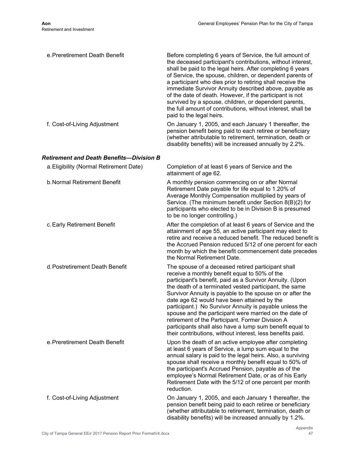| e. Preretirement Death Benefit            | Before completing 6 years of Service, the full amount of<br>the deceased participant's contributions, without interest,<br>shall be paid to the legal heirs. After completing 6 years<br>of Service, the spouse, children, or dependent parents of<br>a participant who dies prior to retiring shall receive the<br>immediate Survivor Annuity described above, payable as<br>of the date of death. However, if the participant is not<br>survived by a spouse, children, or dependent parents,<br>the full amount of contributions, without interest, shall be<br>paid to the legal heirs.                                              |
|-------------------------------------------|------------------------------------------------------------------------------------------------------------------------------------------------------------------------------------------------------------------------------------------------------------------------------------------------------------------------------------------------------------------------------------------------------------------------------------------------------------------------------------------------------------------------------------------------------------------------------------------------------------------------------------------|
| f. Cost-of-Living Adjustment              | On January 1, 2005, and each January 1 thereafter, the<br>pension benefit being paid to each retiree or beneficiary<br>(whether attributable to retirement, termination, death or<br>disability benefits) will be increased annually by 2.2%.                                                                                                                                                                                                                                                                                                                                                                                            |
| Retirement and Death Benefits--Division B |                                                                                                                                                                                                                                                                                                                                                                                                                                                                                                                                                                                                                                          |
| a. Eligibility (Normal Retirement Date)   | Completion of at least 6 years of Service and the<br>attainment of age 62.                                                                                                                                                                                                                                                                                                                                                                                                                                                                                                                                                               |
| <b>b. Normal Retirement Benefit</b>       | A monthly pension commencing on or after Normal<br>Retirement Date payable for life equal to 1.20% of<br>Average Monthly Compensation multiplied by years of<br>Service. (The minimum benefit under Section 8(B)(2) for<br>participants who elected to be in Division B is presumed<br>to be no longer controlling.)                                                                                                                                                                                                                                                                                                                     |
| c. Early Retirement Benefit               | After the completion of at least 6 years of Service and the<br>attainment of age 55, an active participant may elect to<br>retire and receive a reduced benefit. The reduced benefit is<br>the Accrued Pension reduced 5/12 of one percent for each<br>month by which the benefit commencement date precedes<br>the Normal Retirement Date.                                                                                                                                                                                                                                                                                              |
| d. Postretirement Death Benefit           | The spouse of a deceased retired participant shall<br>receive a monthly benefit equal to 50% of the<br>participant's benefit, paid as a Survivor Annuity. (Upon<br>the death of a terminated vested participant, the same<br>Survivor Annuity is payable to the spouse on or after the<br>date age 62 would have been attained by the<br>participant.) No Survivor Annuity is payable unless the<br>spouse and the participant were married on the date of<br>retirement of the Participant. Former Division A<br>participants shall also have a lump sum benefit equal to<br>their contributions, without interest, less benefits paid. |
| e. Preretirement Death Benefit            | Upon the death of an active employee after completing<br>at least 6 years of Service, a lump sum equal to the<br>annual salary is paid to the legal heirs. Also, a surviving<br>spouse shall receive a monthly benefit equal to 50% of<br>the participant's Accrued Pension, payable as of the<br>employee's Normal Retirement Date, or as of his Early<br>Retirement Date with the 5/12 of one percent per month<br>reduction.                                                                                                                                                                                                          |
| f. Cost-of-Living Adjustment              | On January 1, 2005, and each January 1 thereafter, the<br>pension benefit being paid to each retiree or beneficiary<br>(whether attributable to retirement, termination, death or<br>disability benefits) will be increased annually by 1.2%.                                                                                                                                                                                                                                                                                                                                                                                            |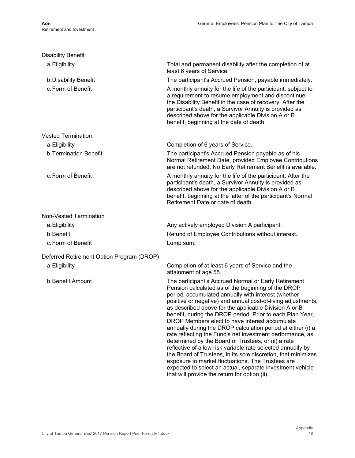| <b>Disability Benefit</b>                 |                                                                                                                                                                                                                                                                                                                                                                                                                                                                                                                                                                                                                                                                                                                                                                                                                                                                                                 |
|-------------------------------------------|-------------------------------------------------------------------------------------------------------------------------------------------------------------------------------------------------------------------------------------------------------------------------------------------------------------------------------------------------------------------------------------------------------------------------------------------------------------------------------------------------------------------------------------------------------------------------------------------------------------------------------------------------------------------------------------------------------------------------------------------------------------------------------------------------------------------------------------------------------------------------------------------------|
| a. Eligibility                            | Total and permanent disability after the completion of at<br>least 6 years of Service.                                                                                                                                                                                                                                                                                                                                                                                                                                                                                                                                                                                                                                                                                                                                                                                                          |
| b. Disability Benefit                     | The participant's Accrued Pension, payable immediately.                                                                                                                                                                                                                                                                                                                                                                                                                                                                                                                                                                                                                                                                                                                                                                                                                                         |
| c. Form of Benefit                        | A monthly annuity for the life of the participant, subject to<br>a requirement to resume employment and discontinue<br>the Disability Benefit in the case of recovery. After the<br>participant's death, a Survivor Annuity is provided as<br>described above for the applicable Division A or B<br>benefit, beginning at the date of death.                                                                                                                                                                                                                                                                                                                                                                                                                                                                                                                                                    |
| <b>Vested Termination</b>                 |                                                                                                                                                                                                                                                                                                                                                                                                                                                                                                                                                                                                                                                                                                                                                                                                                                                                                                 |
| a. Eligibility                            | Completion of 6 years of Service.                                                                                                                                                                                                                                                                                                                                                                                                                                                                                                                                                                                                                                                                                                                                                                                                                                                               |
| b. Termination Benefit                    | The participant's Accrued Pension payable as of his<br>Normal Retirement Date, provided Employee Contributions<br>are not refunded. No Early Retirement Benefit is available.                                                                                                                                                                                                                                                                                                                                                                                                                                                                                                                                                                                                                                                                                                                   |
| c. Form of Benefit                        | A monthly annuity for the life of the participant. After the<br>participant's death, a Survivor Annuity is provided as<br>described above for the applicable Division A or B<br>benefit, beginning at the latter of the participant's Normal<br>Retirement Date or date of death.                                                                                                                                                                                                                                                                                                                                                                                                                                                                                                                                                                                                               |
| Non-Vested Termination                    |                                                                                                                                                                                                                                                                                                                                                                                                                                                                                                                                                                                                                                                                                                                                                                                                                                                                                                 |
| a. Eligibility                            | Any actively employed Division A participant.                                                                                                                                                                                                                                                                                                                                                                                                                                                                                                                                                                                                                                                                                                                                                                                                                                                   |
| b.Benefit                                 | Refund of Employee Contributions without interest.                                                                                                                                                                                                                                                                                                                                                                                                                                                                                                                                                                                                                                                                                                                                                                                                                                              |
| c. Form of Benefit                        | Lump sum.                                                                                                                                                                                                                                                                                                                                                                                                                                                                                                                                                                                                                                                                                                                                                                                                                                                                                       |
| Deferred Retirement Option Program (DROP) |                                                                                                                                                                                                                                                                                                                                                                                                                                                                                                                                                                                                                                                                                                                                                                                                                                                                                                 |
| a. Eligibility                            | Completion of at least 6 years of Service and the<br>attainment of age 55.                                                                                                                                                                                                                                                                                                                                                                                                                                                                                                                                                                                                                                                                                                                                                                                                                      |
| b. Benefit Amount                         | The participant's Accrued Normal or Early Retirement<br>Pension calculated as of the beginning of the DROP<br>period, accumulated annually with interest (whether<br>positive or negative) and annual cost-of-living adjustments,<br>as described above for the applicable Division A or B<br>benefit, during the DROP period. Prior to each Plan Year,<br>DROP Members elect to have interest accumulate<br>annually during the DROP calculation period at either (i) a<br>rate reflecting the Fund's net investment performance, as<br>determined by the Board of Trustees, or (ii) a rate<br>reflective of a low risk variable rate selected annually by<br>the Board of Trustees, in its sole discretion, that minimizes<br>exposure to market fluctuations. The Trustees are<br>expected to select an actual, separate investment vehicle<br>that will provide the return for option (ii). |